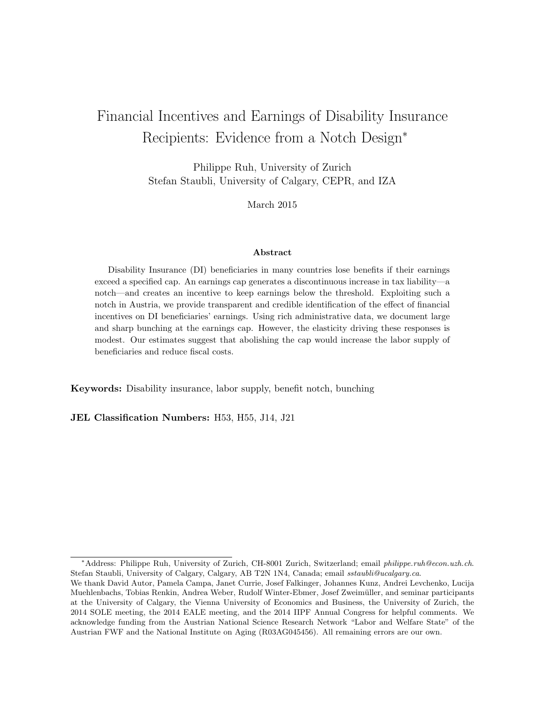# <span id="page-0-0"></span>Financial Incentives and Earnings of Disability Insurance Recipients: Evidence from a Notch Design<sup>∗</sup>

Philippe Ruh, University of Zurich Stefan Staubli, University of Calgary, CEPR, and IZA

March 2015

#### Abstract

Disability Insurance (DI) beneficiaries in many countries lose benefits if their earnings exceed a specified cap. An earnings cap generates a discontinuous increase in tax liability—a notch—and creates an incentive to keep earnings below the threshold. Exploiting such a notch in Austria, we provide transparent and credible identification of the effect of financial incentives on DI beneficiaries' earnings. Using rich administrative data, we document large and sharp bunching at the earnings cap. However, the elasticity driving these responses is modest. Our estimates suggest that abolishing the cap would increase the labor supply of beneficiaries and reduce fiscal costs.

Keywords: Disability insurance, labor supply, benefit notch, bunching

JEL Classification Numbers: H53, H55, J14, J21

<sup>∗</sup>Address: Philippe Ruh, University of Zurich, CH-8001 Zurich, Switzerland; email philippe.ruh@econ.uzh.ch. Stefan Staubli, University of Calgary, Calgary, AB T2N 1N4, Canada; email sstaubli@ucalgary.ca.

We thank David Autor, Pamela Campa, Janet Currie, Josef Falkinger, Johannes Kunz, Andrei Levchenko, Lucija Muehlenbachs, Tobias Renkin, Andrea Weber, Rudolf Winter-Ebmer, Josef Zweimüller, and seminar participants at the University of Calgary, the Vienna University of Economics and Business, the University of Zurich, the 2014 SOLE meeting, the 2014 EALE meeting, and the 2014 IIPF Annual Congress for helpful comments. We acknowledge funding from the Austrian National Science Research Network "Labor and Welfare State" of the Austrian FWF and the National Institute on Aging (R03AG045456). All remaining errors are our own.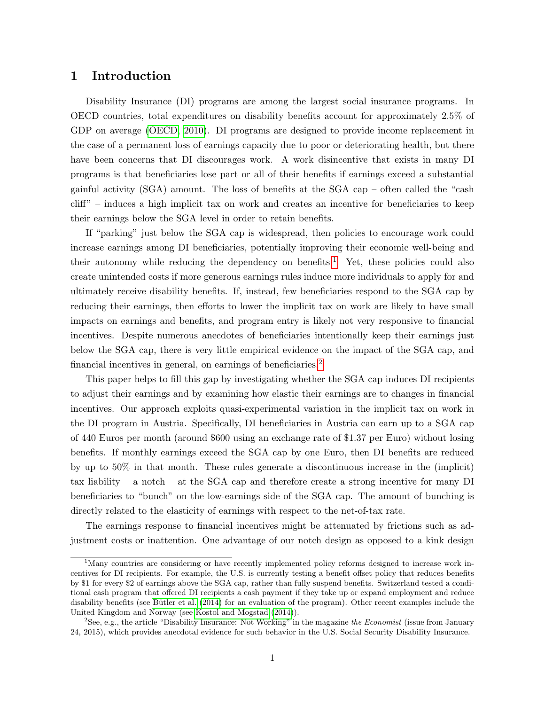### <span id="page-1-0"></span>1 Introduction

Disability Insurance (DI) programs are among the largest social insurance programs. In OECD countries, total expenditures on disability benefits account for approximately 2.5% of GDP on average [\(OECD, 2010\)](#page-25-0). DI programs are designed to provide income replacement in the case of a permanent loss of earnings capacity due to poor or deteriorating health, but there have been concerns that DI discourages work. A work disincentive that exists in many DI programs is that beneficiaries lose part or all of their benefits if earnings exceed a substantial gainful activity (SGA) amount. The loss of benefits at the SGA cap – often called the "cash cliff" – induces a high implicit tax on work and creates an incentive for beneficiaries to keep their earnings below the SGA level in order to retain benefits.

If "parking" just below the SGA cap is widespread, then policies to encourage work could increase earnings among DI beneficiaries, potentially improving their economic well-being and their autonomy while reducing the dependency on benefits.<sup>[1](#page-0-0)</sup> Yet, these policies could also create unintended costs if more generous earnings rules induce more individuals to apply for and ultimately receive disability benefits. If, instead, few beneficiaries respond to the SGA cap by reducing their earnings, then efforts to lower the implicit tax on work are likely to have small impacts on earnings and benefits, and program entry is likely not very responsive to financial incentives. Despite numerous anecdotes of beneficiaries intentionally keep their earnings just below the SGA cap, there is very little empirical evidence on the impact of the SGA cap, and financial incentives in general, on earnings of beneficiaries.<sup>[2](#page-0-0)</sup>

This paper helps to fill this gap by investigating whether the SGA cap induces DI recipients to adjust their earnings and by examining how elastic their earnings are to changes in financial incentives. Our approach exploits quasi-experimental variation in the implicit tax on work in the DI program in Austria. Specifically, DI beneficiaries in Austria can earn up to a SGA cap of 440 Euros per month (around \$600 using an exchange rate of \$1.37 per Euro) without losing benefits. If monthly earnings exceed the SGA cap by one Euro, then DI benefits are reduced by up to 50% in that month. These rules generate a discontinuous increase in the (implicit) tax liability – a notch – at the SGA cap and therefore create a strong incentive for many DI beneficiaries to "bunch" on the low-earnings side of the SGA cap. The amount of bunching is directly related to the elasticity of earnings with respect to the net-of-tax rate.

The earnings response to financial incentives might be attenuated by frictions such as adjustment costs or inattention. One advantage of our notch design as opposed to a kink design

<sup>&</sup>lt;sup>1</sup>Many countries are considering or have recently implemented policy reforms designed to increase work incentives for DI recipients. For example, the U.S. is currently testing a benefit offset policy that reduces benefits by \$1 for every \$2 of earnings above the SGA cap, rather than fully suspend benefits. Switzerland tested a conditional cash program that offered DI recipients a cash payment if they take up or expand employment and reduce disability benefits (see Bütler et al. [\(2014\)](#page-24-0) for an evaluation of the program). Other recent examples include the United Kingdom and Norway (see [Kostol and Mogstad](#page-25-1) [\(2014\)](#page-25-1)).

 $2$ See, e.g., the article "Disability Insurance: Not Working" in the magazine the Economist (issue from January 24, 2015), which provides anecdotal evidence for such behavior in the U.S. Social Security Disability Insurance.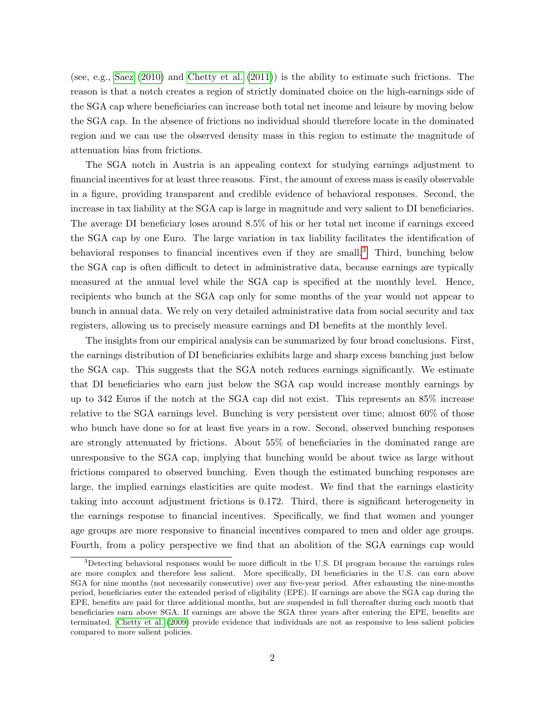(see, e.g., [Saez](#page-26-0) [\(2010\)](#page-26-0) and [Chetty et al.](#page-24-1) [\(2011\)](#page-24-1)) is the ability to estimate such frictions. The reason is that a notch creates a region of strictly dominated choice on the high-earnings side of the SGA cap where beneficiaries can increase both total net income and leisure by moving below the SGA cap. In the absence of frictions no individual should therefore locate in the dominated region and we can use the observed density mass in this region to estimate the magnitude of attenuation bias from frictions.

The SGA notch in Austria is an appealing context for studying earnings adjustment to financial incentives for at least three reasons. First, the amount of excess mass is easily observable in a figure, providing transparent and credible evidence of behavioral responses. Second, the increase in tax liability at the SGA cap is large in magnitude and very salient to DI beneficiaries. The average DI beneficiary loses around 8.5% of his or her total net income if earnings exceed the SGA cap by one Euro. The large variation in tax liability facilitates the identification of behavioral responses to financial incentives even if they are small.<sup>[3](#page-0-0)</sup> Third, bunching below the SGA cap is often difficult to detect in administrative data, because earnings are typically measured at the annual level while the SGA cap is specified at the monthly level. Hence, recipients who bunch at the SGA cap only for some months of the year would not appear to bunch in annual data. We rely on very detailed administrative data from social security and tax registers, allowing us to precisely measure earnings and DI benefits at the monthly level.

The insights from our empirical analysis can be summarized by four broad conclusions. First, the earnings distribution of DI beneficiaries exhibits large and sharp excess bunching just below the SGA cap. This suggests that the SGA notch reduces earnings significantly. We estimate that DI beneficiaries who earn just below the SGA cap would increase monthly earnings by up to 342 Euros if the notch at the SGA cap did not exist. This represents an 85% increase relative to the SGA earnings level. Bunching is very persistent over time; almost 60% of those who bunch have done so for at least five years in a row. Second, observed bunching responses are strongly attenuated by frictions. About 55% of beneficiaries in the dominated range are unresponsive to the SGA cap, implying that bunching would be about twice as large without frictions compared to observed bunching. Even though the estimated bunching responses are large, the implied earnings elasticities are quite modest. We find that the earnings elasticity taking into account adjustment frictions is 0.172. Third, there is significant heterogeneity in the earnings response to financial incentives. Specifically, we find that women and younger age groups are more responsive to financial incentives compared to men and older age groups. Fourth, from a policy perspective we find that an abolition of the SGA earnings cap would

<sup>&</sup>lt;sup>3</sup>Detecting behavioral responses would be more difficult in the U.S. DI program because the earnings rules are more complex and therefore less salient. More specifically, DI beneficiaries in the U.S. can earn above SGA for nine months (not necessarily consecutive) over any five-year period. After exhausting the nine-months period, beneficiaries enter the extended period of eligibility (EPE). If earnings are above the SGA cap during the EPE, benefits are paid for three additional months, but are suspended in full thereafter during each month that beneficiaries earn above SGA. If earnings are above the SGA three years after entering the EPE, benefits are terminated. [Chetty et al.](#page-24-2) [\(2009\)](#page-24-2) provide evidence that individuals are not as responsive to less salient policies compared to more salient policies.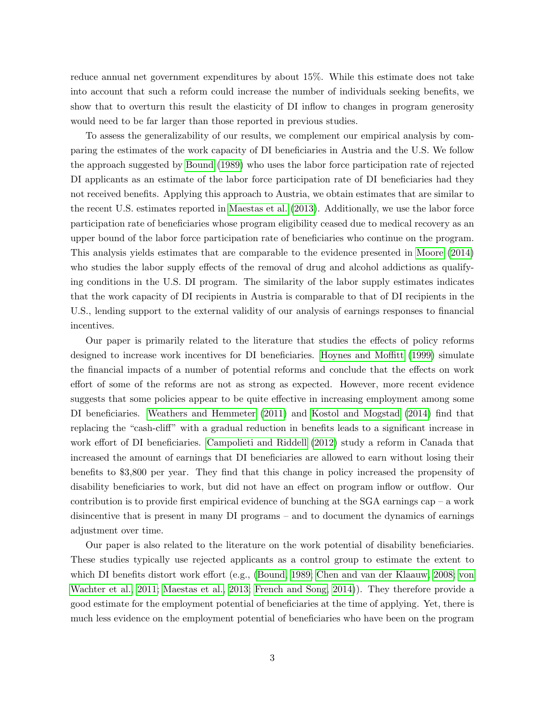reduce annual net government expenditures by about 15%. While this estimate does not take into account that such a reform could increase the number of individuals seeking benefits, we show that to overturn this result the elasticity of DI inflow to changes in program generosity would need to be far larger than those reported in previous studies.

To assess the generalizability of our results, we complement our empirical analysis by comparing the estimates of the work capacity of DI beneficiaries in Austria and the U.S. We follow the approach suggested by [Bound](#page-24-3) [\(1989\)](#page-24-3) who uses the labor force participation rate of rejected DI applicants as an estimate of the labor force participation rate of DI beneficiaries had they not received benefits. Applying this approach to Austria, we obtain estimates that are similar to the recent U.S. estimates reported in [Maestas et al.](#page-25-2) [\(2013\)](#page-25-2). Additionally, we use the labor force participation rate of beneficiaries whose program eligibility ceased due to medical recovery as an upper bound of the labor force participation rate of beneficiaries who continue on the program. This analysis yields estimates that are comparable to the evidence presented in [Moore](#page-25-3) [\(2014\)](#page-25-3) who studies the labor supply effects of the removal of drug and alcohol addictions as qualifying conditions in the U.S. DI program. The similarity of the labor supply estimates indicates that the work capacity of DI recipients in Austria is comparable to that of DI recipients in the U.S., lending support to the external validity of our analysis of earnings responses to financial incentives.

Our paper is primarily related to the literature that studies the effects of policy reforms designed to increase work incentives for DI beneficiaries. [Hoynes and Moffitt](#page-25-4) [\(1999\)](#page-25-4) simulate the financial impacts of a number of potential reforms and conclude that the effects on work effort of some of the reforms are not as strong as expected. However, more recent evidence suggests that some policies appear to be quite effective in increasing employment among some DI beneficiaries. [Weathers and Hemmeter](#page-26-1) [\(2011\)](#page-26-1) and [Kostol and Mogstad](#page-25-1) [\(2014\)](#page-25-1) find that replacing the "cash-cliff" with a gradual reduction in benefits leads to a significant increase in work effort of DI beneficiaries. [Campolieti and Riddell](#page-24-4) [\(2012\)](#page-24-4) study a reform in Canada that increased the amount of earnings that DI beneficiaries are allowed to earn without losing their benefits to \$3,800 per year. They find that this change in policy increased the propensity of disability beneficiaries to work, but did not have an effect on program inflow or outflow. Our contribution is to provide first empirical evidence of bunching at the  $SGA$  earnings cap – a work disincentive that is present in many DI programs – and to document the dynamics of earnings adjustment over time.

Our paper is also related to the literature on the work potential of disability beneficiaries. These studies typically use rejected applicants as a control group to estimate the extent to which DI benefits distort work effort (e.g., [\(Bound, 1989;](#page-24-3) [Chen and van der Klaauw, 2008;](#page-24-5) [von](#page-26-2) [Wachter et al., 2011;](#page-26-2) [Maestas et al., 2013;](#page-25-2) [French and Song, 2014\)](#page-24-6)). They therefore provide a good estimate for the employment potential of beneficiaries at the time of applying. Yet, there is much less evidence on the employment potential of beneficiaries who have been on the program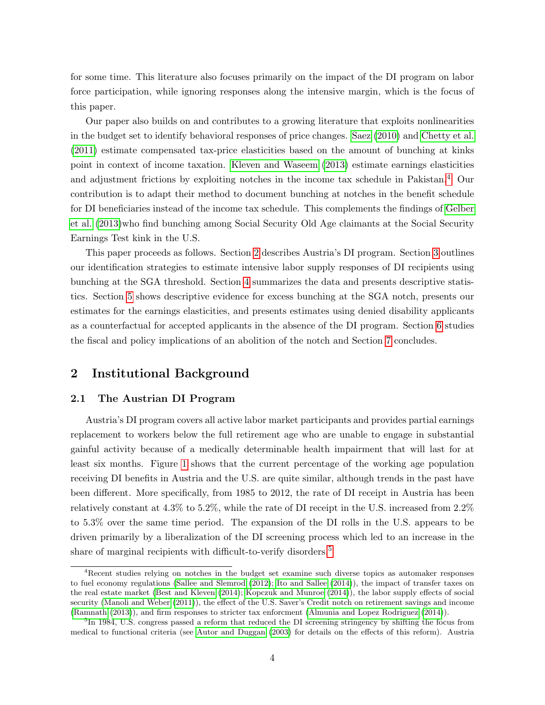for some time. This literature also focuses primarily on the impact of the DI program on labor force participation, while ignoring responses along the intensive margin, which is the focus of this paper.

Our paper also builds on and contributes to a growing literature that exploits nonlinearities in the budget set to identify behavioral responses of price changes. [Saez](#page-26-0) [\(2010\)](#page-26-0) and [Chetty et al.](#page-24-1) [\(2011\)](#page-24-1) estimate compensated tax-price elasticities based on the amount of bunching at kinks point in context of income taxation. [Kleven and Waseem](#page-25-5) [\(2013\)](#page-25-5) estimate earnings elasticities and adjustment frictions by exploiting notches in the income tax schedule in Pakistan.[4](#page-0-0) Our contribution is to adapt their method to document bunching at notches in the benefit schedule for DI beneficiaries instead of the income tax schedule. This complements the findings of [Gelber](#page-25-6) [et al.](#page-25-6) [\(2013\)](#page-25-6)who find bunching among Social Security Old Age claimants at the Social Security Earnings Test kink in the U.S.

This paper proceeds as follows. Section [2](#page-4-0) describes Austria's DI program. Section [3](#page-7-0) outlines our identification strategies to estimate intensive labor supply responses of DI recipients using bunching at the SGA threshold. Section [4](#page-12-0) summarizes the data and presents descriptive statistics. Section [5](#page-13-0) shows descriptive evidence for excess bunching at the SGA notch, presents our estimates for the earnings elasticities, and presents estimates using denied disability applicants as a counterfactual for accepted applicants in the absence of the DI program. Section [6](#page-21-0) studies the fiscal and policy implications of an abolition of the notch and Section [7](#page-22-0) concludes.

# <span id="page-4-0"></span>2 Institutional Background

#### <span id="page-4-1"></span>2.1 The Austrian DI Program

Austria's DI program covers all active labor market participants and provides partial earnings replacement to workers below the full retirement age who are unable to engage in substantial gainful activity because of a medically determinable health impairment that will last for at least six months. Figure [1](#page-32-0) shows that the current percentage of the working age population receiving DI benefits in Austria and the U.S. are quite similar, although trends in the past have been different. More specifically, from 1985 to 2012, the rate of DI receipt in Austria has been relatively constant at 4.3% to 5.2%, while the rate of DI receipt in the U.S. increased from 2.2% to 5.3% over the same time period. The expansion of the DI rolls in the U.S. appears to be driven primarily by a liberalization of the DI screening process which led to an increase in the share of marginal recipients with difficult-to-verify disorders.<sup>[5](#page-0-0)</sup>

<sup>4</sup>Recent studies relying on notches in the budget set examine such diverse topics as automaker responses to fuel economy regulations [\(Sallee and Slemrod](#page-26-3) [\(2012\)](#page-26-3); [Ito and Sallee](#page-25-7) [\(2014\)](#page-25-7)), the impact of transfer taxes on the real estate market [\(Best and Kleven](#page-24-7) [\(2014\)](#page-24-7); [Kopczuk and Munroe](#page-25-8) [\(2014\)](#page-25-8)), the labor supply effects of social security [\(Manoli and Weber](#page-25-9) [\(2011\)](#page-25-9)), the effect of the U.S. Saver's Credit notch on retirement savings and income [\(Ramnath](#page-26-4) [\(2013\)](#page-26-4)), and firm responses to stricter tax enforcment [\(Almunia and Lopez Rodriguez](#page-24-8) [\(2014\)](#page-24-8)).

<sup>&</sup>lt;sup>5</sup>In 1984, U.S. congress passed a reform that reduced the DI screening stringency by shifting the focus from medical to functional criteria (see [Autor and Duggan](#page-24-9) [\(2003\)](#page-24-9) for details on the effects of this reform). Austria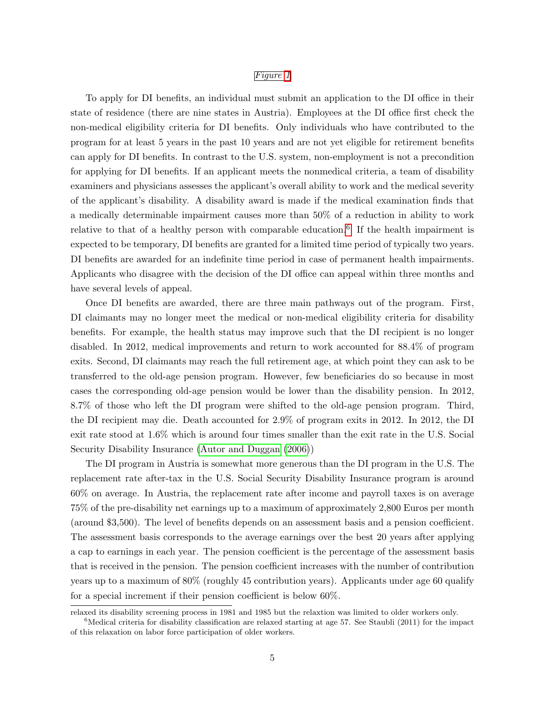#### Figure [1](#page-32-0)

To apply for DI benefits, an individual must submit an application to the DI office in their state of residence (there are nine states in Austria). Employees at the DI office first check the non-medical eligibility criteria for DI benefits. Only individuals who have contributed to the program for at least 5 years in the past 10 years and are not yet eligible for retirement benefits can apply for DI benefits. In contrast to the U.S. system, non-employment is not a precondition for applying for DI benefits. If an applicant meets the nonmedical criteria, a team of disability examiners and physicians assesses the applicant's overall ability to work and the medical severity of the applicant's disability. A disability award is made if the medical examination finds that a medically determinable impairment causes more than 50% of a reduction in ability to work relative to that of a healthy person with comparable education.<sup>[6](#page-0-0)</sup> If the health impairment is expected to be temporary, DI benefits are granted for a limited time period of typically two years. DI benefits are awarded for an indefinite time period in case of permanent health impairments. Applicants who disagree with the decision of the DI office can appeal within three months and have several levels of appeal.

Once DI benefits are awarded, there are three main pathways out of the program. First, DI claimants may no longer meet the medical or non-medical eligibility criteria for disability benefits. For example, the health status may improve such that the DI recipient is no longer disabled. In 2012, medical improvements and return to work accounted for 88.4% of program exits. Second, DI claimants may reach the full retirement age, at which point they can ask to be transferred to the old-age pension program. However, few beneficiaries do so because in most cases the corresponding old-age pension would be lower than the disability pension. In 2012, 8.7% of those who left the DI program were shifted to the old-age pension program. Third, the DI recipient may die. Death accounted for 2.9% of program exits in 2012. In 2012, the DI exit rate stood at 1.6% which is around four times smaller than the exit rate in the U.S. Social Security Disability Insurance [\(Autor and Duggan](#page-24-10) [\(2006\)](#page-24-10))

The DI program in Austria is somewhat more generous than the DI program in the U.S. The replacement rate after-tax in the U.S. Social Security Disability Insurance program is around 60% on average. In Austria, the replacement rate after income and payroll taxes is on average 75% of the pre-disability net earnings up to a maximum of approximately 2,800 Euros per month (around \$3,500). The level of benefits depends on an assessment basis and a pension coefficient. The assessment basis corresponds to the average earnings over the best 20 years after applying a cap to earnings in each year. The pension coefficient is the percentage of the assessment basis that is received in the pension. The pension coefficient increases with the number of contribution years up to a maximum of 80% (roughly 45 contribution years). Applicants under age 60 qualify for a special increment if their pension coefficient is below 60%.

relaxed its disability screening process in 1981 and 1985 but the relaxtion was limited to older workers only.

 ${}^{6}$ Medical criteria for disability classification are relaxed starting at age 57. See Staubli (2011) for the impact of this relaxation on labor force participation of older workers.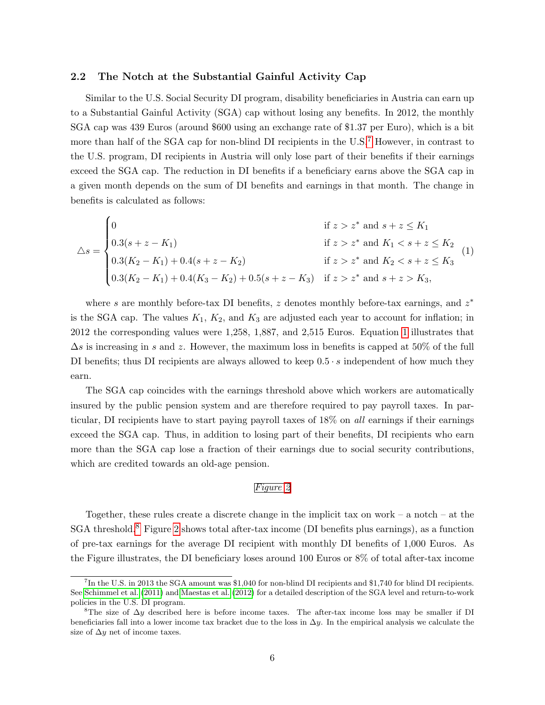#### <span id="page-6-1"></span>2.2 The Notch at the Substantial Gainful Activity Cap

Similar to the U.S. Social Security DI program, disability beneficiaries in Austria can earn up to a Substantial Gainful Activity (SGA) cap without losing any benefits. In 2012, the monthly SGA cap was 439 Euros (around \$600 using an exchange rate of \$1.37 per Euro), which is a bit more than half of the SGA cap for non-blind DI recipients in the U.S.<sup>[7](#page-0-0)</sup> However, in contrast to the U.S. program, DI recipients in Austria will only lose part of their benefits if their earnings exceed the SGA cap. The reduction in DI benefits if a beneficiary earns above the SGA cap in a given month depends on the sum of DI benefits and earnings in that month. The change in benefits is calculated as follows:

<span id="page-6-0"></span>
$$
\triangle s = \begin{cases}\n0 & \text{if } z > z^* \text{ and } s + z \le K_1 \\
0.3(s + z - K_1) & \text{if } z > z^* \text{ and } K_1 < s + z \le K_2 \\
0.3(K_2 - K_1) + 0.4(s + z - K_2) & \text{if } z > z^* \text{ and } K_2 < s + z \le K_3 \\
0.3(K_2 - K_1) + 0.4(K_3 - K_2) + 0.5(s + z - K_3) & \text{if } z > z^* \text{ and } s + z > K_3,\n\end{cases}
$$
\n(1)

where s are monthly before-tax DI benefits, z denotes monthly before-tax earnings, and  $z^*$ is the SGA cap. The values  $K_1$ ,  $K_2$ , and  $K_3$  are adjusted each year to account for inflation; in 2012 the corresponding values were 1,258, 1,887, and 2,515 Euros. Equation [1](#page-6-0) illustrates that  $\Delta s$  is increasing in s and z. However, the maximum loss in benefits is capped at 50% of the full DI benefits; thus DI recipients are always allowed to keep  $0.5 \cdot s$  independent of how much they earn.

The SGA cap coincides with the earnings threshold above which workers are automatically insured by the public pension system and are therefore required to pay payroll taxes. In particular, DI recipients have to start paying payroll taxes of 18% on all earnings if their earnings exceed the SGA cap. Thus, in addition to losing part of their benefits, DI recipients who earn more than the SGA cap lose a fraction of their earnings due to social security contributions, which are credited towards an old-age pension.

#### Figure [2](#page-33-0)

Together, these rules create a discrete change in the implicit tax on work – a notch – at the SGA threshold.[8](#page-0-0) Figure [2](#page-33-0) shows total after-tax income (DI benefits plus earnings), as a function of pre-tax earnings for the average DI recipient with monthly DI benefits of 1,000 Euros. As the Figure illustrates, the DI beneficiary loses around 100 Euros or 8% of total after-tax income

<sup>&</sup>lt;sup>7</sup>In the U.S. in 2013 the SGA amount was \$1,040 for non-blind DI recipients and \$1,740 for blind DI recipients. See [Schimmel et al.](#page-26-5) [\(2011\)](#page-26-5) and [Maestas et al.](#page-25-10) [\(2012\)](#page-25-10) for a detailed description of the SGA level and return-to-work policies in the U.S. DI program.

<sup>&</sup>lt;sup>8</sup>The size of  $\Delta y$  described here is before income taxes. The after-tax income loss may be smaller if DI beneficiaries fall into a lower income tax bracket due to the loss in  $\Delta y$ . In the empirical analysis we calculate the size of  $\Delta y$  net of income taxes.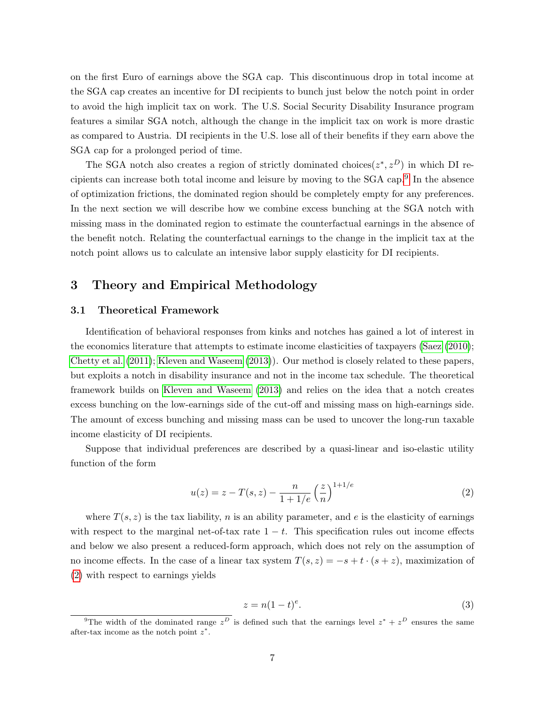on the first Euro of earnings above the SGA cap. This discontinuous drop in total income at the SGA cap creates an incentive for DI recipients to bunch just below the notch point in order to avoid the high implicit tax on work. The U.S. Social Security Disability Insurance program features a similar SGA notch, although the change in the implicit tax on work is more drastic as compared to Austria. DI recipients in the U.S. lose all of their benefits if they earn above the SGA cap for a prolonged period of time.

The SGA notch also creates a region of strictly dominated choices $(z^*, z^D)$  in which DI recipients can increase both total income and leisure by moving to the SGA cap.[9](#page-0-0) In the absence of optimization frictions, the dominated region should be completely empty for any preferences. In the next section we will describe how we combine excess bunching at the SGA notch with missing mass in the dominated region to estimate the counterfactual earnings in the absence of the benefit notch. Relating the counterfactual earnings to the change in the implicit tax at the notch point allows us to calculate an intensive labor supply elasticity for DI recipients.

# <span id="page-7-0"></span>3 Theory and Empirical Methodology

#### <span id="page-7-3"></span>3.1 Theoretical Framework

Identification of behavioral responses from kinks and notches has gained a lot of interest in the economics literature that attempts to estimate income elasticities of taxpayers [\(Saez](#page-26-0) [\(2010\)](#page-26-0); [Chetty et al.](#page-24-1) [\(2011\)](#page-24-1); [Kleven and Waseem](#page-25-5) [\(2013\)](#page-25-5)). Our method is closely related to these papers, but exploits a notch in disability insurance and not in the income tax schedule. The theoretical framework builds on [Kleven and Waseem](#page-25-5) [\(2013\)](#page-25-5) and relies on the idea that a notch creates excess bunching on the low-earnings side of the cut-off and missing mass on high-earnings side. The amount of excess bunching and missing mass can be used to uncover the long-run taxable income elasticity of DI recipients.

Suppose that individual preferences are described by a quasi-linear and iso-elastic utility function of the form

<span id="page-7-1"></span>
$$
u(z) = z - T(s, z) - \frac{n}{1 + 1/e} \left(\frac{z}{n}\right)^{1 + 1/e}
$$
 (2)

where  $T(s, z)$  is the tax liability, n is an ability parameter, and e is the elasticity of earnings with respect to the marginal net-of-tax rate  $1 - t$ . This specification rules out income effects and below we also present a reduced-form approach, which does not rely on the assumption of no income effects. In the case of a linear tax system  $T(s, z) = -s + t \cdot (s + z)$ , maximization of [\(2\)](#page-7-1) with respect to earnings yields

<span id="page-7-2"></span>
$$
z = n(1-t)^e. \tag{3}
$$

<sup>&</sup>lt;sup>9</sup>The width of the dominated range  $z^D$  is defined such that the earnings level  $z^* + z^D$  ensures the same after-tax income as the notch point  $z^*$ .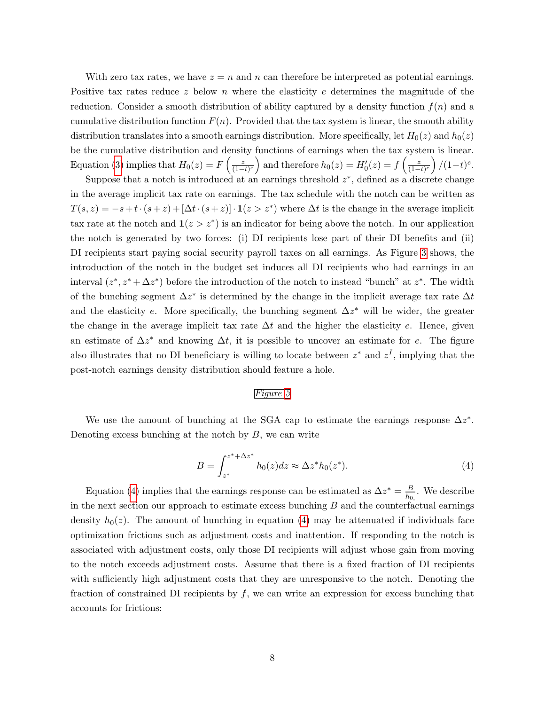With zero tax rates, we have  $z = n$  and n can therefore be interpreted as potential earnings. Positive tax rates reduce  $z$  below n where the elasticity e determines the magnitude of the reduction. Consider a smooth distribution of ability captured by a density function  $f(n)$  and a cumulative distribution function  $F(n)$ . Provided that the tax system is linear, the smooth ability distribution translates into a smooth earnings distribution. More specifically, let  $H_0(z)$  and  $h_0(z)$ be the cumulative distribution and density functions of earnings when the tax system is linear. Equation [\(3\)](#page-7-2) implies that  $H_0(z) = F\left(\frac{z}{z-1}\right)$  $\frac{z}{(1-t)^e}$  and therefore  $h_0(z) = H'_0(z) = f\left(\frac{z}{(1-t)^e}\right)$  $\frac{z}{(1-t)^e}\Big) / (1-t)^e.$ 

Suppose that a notch is introduced at an earnings threshold  $z^*$ , defined as a discrete change in the average implicit tax rate on earnings. The tax schedule with the notch can be written as  $T(s, z) = -s + t \cdot (s + z) + [\Delta t \cdot (s + z)] \cdot \mathbf{1}(z > z^*)$  where  $\Delta t$  is the change in the average implicit tax rate at the notch and  $\mathbf{1}(z > z^*)$  is an indicator for being above the notch. In our application the notch is generated by two forces: (i) DI recipients lose part of their DI benefits and (ii) DI recipients start paying social security payroll taxes on all earnings. As Figure [3](#page-33-1) shows, the introduction of the notch in the budget set induces all DI recipients who had earnings in an interval  $(z^*, z^* + \Delta z^*)$  before the introduction of the notch to instead "bunch" at  $z^*$ . The width of the bunching segment  $\Delta z^*$  is determined by the change in the implicit average tax rate  $\Delta t$ and the elasticity e. More specifically, the bunching segment  $\Delta z^*$  will be wider, the greater the change in the average implicit tax rate  $\Delta t$  and the higher the elasticity e. Hence, given an estimate of  $\Delta z^*$  and knowing  $\Delta t$ , it is possible to uncover an estimate for e. The figure also illustrates that no DI beneficiary is willing to locate between  $z^*$  and  $z^I$ , implying that the post-notch earnings density distribution should feature a hole.

#### Figure [3](#page-33-1)

We use the amount of bunching at the SGA cap to estimate the earnings response  $\Delta z^*$ . Denoting excess bunching at the notch by  $B$ , we can write

<span id="page-8-0"></span>
$$
B = \int_{z^*}^{z^* + \Delta z^*} h_0(z) dz \approx \Delta z^* h_0(z^*).
$$
 (4)

Equation [\(4\)](#page-8-0) implies that the earnings response can be estimated as  $\Delta z^* = \frac{B}{k}$  $\frac{B}{h_{0,}}$ . We describe in the next section our approach to estimate excess bunching  $B$  and the counterfactual earnings density  $h_0(z)$ . The amount of bunching in equation [\(4\)](#page-8-0) may be attenuated if individuals face optimization frictions such as adjustment costs and inattention. If responding to the notch is associated with adjustment costs, only those DI recipients will adjust whose gain from moving to the notch exceeds adjustment costs. Assume that there is a fixed fraction of DI recipients with sufficiently high adjustment costs that they are unresponsive to the notch. Denoting the fraction of constrained DI recipients by  $f$ , we can write an expression for excess bunching that accounts for frictions: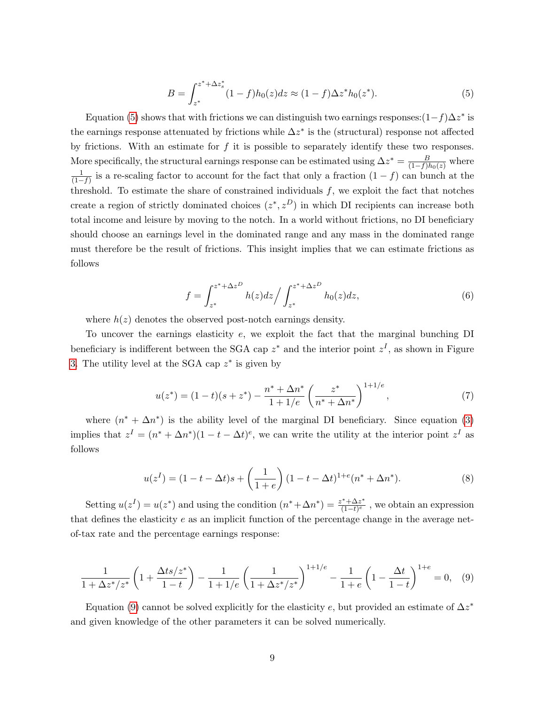<span id="page-9-0"></span>
$$
B = \int_{z^*}^{z^* + \Delta z_s^*} (1 - f) h_0(z) dz \approx (1 - f) \Delta z^* h_0(z^*).
$$
 (5)

Equation [\(5\)](#page-9-0) shows that with frictions we can distinguish two earnings responses: $(1-f)\Delta z^*$  is the earnings response attenuated by frictions while  $\Delta z^*$  is the (structural) response not affected by frictions. With an estimate for  $f$  it is possible to separately identify these two responses. More specifically, the structural earnings response can be estimated using  $\Delta z^* = \frac{B}{(1-f)h_0(z)}$  where 1  $\frac{1}{(1-f)}$  is a re-scaling factor to account for the fact that only a fraction  $(1-f)$  can bunch at the threshold. To estimate the share of constrained individuals  $f$ , we exploit the fact that notches create a region of strictly dominated choices  $(z^*, z^D)$  in which DI recipients can increase both total income and leisure by moving to the notch. In a world without frictions, no DI beneficiary should choose an earnings level in the dominated range and any mass in the dominated range must therefore be the result of frictions. This insight implies that we can estimate frictions as follows

$$
f = \int_{z^*}^{z^* + \Delta z^D} h(z) dz / \int_{z^*}^{z^* + \Delta z^D} h_0(z) dz,
$$
 (6)

where  $h(z)$  denotes the observed post-notch earnings density.

To uncover the earnings elasticity  $e$ , we exploit the fact that the marginal bunching DI beneficiary is indifferent between the SGA cap  $z^*$  and the interior point  $z^I$ , as shown in Figure [3.](#page-33-1) The utility level at the SGA cap  $z^*$  is given by

$$
u(z^*) = (1-t)(s+z^*) - \frac{n^* + \Delta n^*}{1+1/e} \left(\frac{z^*}{n^* + \Delta n^*}\right)^{1+1/e},\tag{7}
$$

where  $(n^* + \Delta n^*)$  is the ability level of the marginal DI beneficiary. Since equation [\(3\)](#page-7-2) implies that  $z^I = (n^* + \Delta n^*)(1 - t - \Delta t)^e$ , we can write the utility at the interior point  $z^I$  as follows

$$
u(z^{I}) = (1 - t - \Delta t)s + \left(\frac{1}{1 + e}\right)(1 - t - \Delta t)^{1 + e}(n^{*} + \Delta n^{*}).
$$
\n(8)

Setting  $u(z^I) = u(z^*)$  and using the condition  $(n^* + \Delta n^*) = \frac{z^* + \Delta z^*}{(1 - i)^e}$  $\frac{(1-t)^x + \Delta z^x}{(1-t)^e}$ , we obtain an expression that defines the elasticity  $e$  as an implicit function of the percentage change in the average netof-tax rate and the percentage earnings response:

<span id="page-9-1"></span>
$$
\frac{1}{1 + \Delta z^* / z^*} \left( 1 + \frac{\Delta t s / z^*}{1 - t} \right) - \frac{1}{1 + 1/e} \left( \frac{1}{1 + \Delta z^* / z^*} \right)^{1 + 1/e} - \frac{1}{1 + e} \left( 1 - \frac{\Delta t}{1 - t} \right)^{1 + e} = 0, \quad (9)
$$

Equation [\(9\)](#page-9-1) cannot be solved explicitly for the elasticity e, but provided an estimate of  $\Delta z^*$ and given knowledge of the other parameters it can be solved numerically.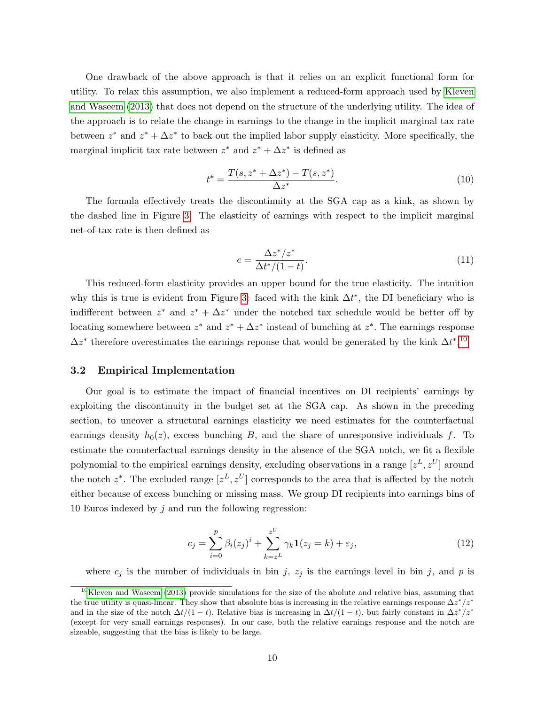One drawback of the above approach is that it relies on an explicit functional form for utility. To relax this assumption, we also implement a reduced-form approach used by [Kleven](#page-25-5) [and Waseem](#page-25-5) [\(2013\)](#page-25-5) that does not depend on the structure of the underlying utility. The idea of the approach is to relate the change in earnings to the change in the implicit marginal tax rate between  $z^*$  and  $z^* + \Delta z^*$  to back out the implied labor supply elasticity. More specifically, the marginal implicit tax rate between  $z^*$  and  $z^* + \Delta z^*$  is defined as

$$
t^* = \frac{T(s, z^* + \Delta z^*) - T(s, z^*)}{\Delta z^*}.
$$
\n(10)

The formula effectively treats the discontinuity at the SGA cap as a kink, as shown by the dashed line in Figure [3.](#page-33-1) The elasticity of earnings with respect to the implicit marginal net-of-tax rate is then defined as

<span id="page-10-1"></span>
$$
e = \frac{\Delta z^* / z^*}{\Delta t^* / (1 - t)}.\tag{11}
$$

This reduced-form elasticity provides an upper bound for the true elasticity. The intuition why this is true is evident from Figure [3:](#page-33-1) faced with the kink  $\Delta t^*$ , the DI beneficiary who is indifferent between  $z^*$  and  $z^* + \Delta z^*$  under the notched tax schedule would be better off by locating somewhere between  $z^*$  and  $z^* + \Delta z^*$  instead of bunching at  $z^*$ . The earnings response  $\Delta z^*$  therefore overestimates the earnings reponse that would be generated by the kink  $\Delta t^*$ .<sup>[10](#page-0-0)</sup>

#### 3.2 Empirical Implementation

Our goal is to estimate the impact of financial incentives on DI recipients' earnings by exploiting the discontinuity in the budget set at the SGA cap. As shown in the preceding section, to uncover a structural earnings elasticity we need estimates for the counterfactual earnings density  $h_0(z)$ , excess bunching B, and the share of unresponsive individuals f. To estimate the counterfactual earnings density in the absence of the SGA notch, we fit a flexible polynomial to the empirical earnings density, excluding observations in a range  $[z^L, z^U]$  around the notch  $z^*$ . The excluded range  $[z^L, z^U]$  corresponds to the area that is affected by the notch either because of excess bunching or missing mass. We group DI recipients into earnings bins of 10 Euros indexed by  $j$  and run the following regression:

<span id="page-10-0"></span>
$$
c_j = \sum_{i=0}^p \beta_i (z_j)^i + \sum_{k=z^L}^{z^U} \gamma_k \mathbf{1}(z_j = k) + \varepsilon_j,
$$
\n(12)

where  $c_j$  is the number of individuals in bin j,  $z_j$  is the earnings level in bin j, and p is

 $10$ [Kleven and Waseem](#page-25-5) [\(2013\)](#page-25-5) provide simulations for the size of the abolute and relative bias, assuming that the true utility is quasi-linear. They show that absolute bias is increasing in the relative earnings response  $\Delta z^*/z^*$ and in the size of the notch  $\Delta t/(1-t)$ . Relative bias is increasing in  $\Delta t/(1-t)$ , but fairly constant in  $\Delta z^*/z^*$ (except for very small earnings responses). In our case, both the relative earnings response and the notch are sizeable, suggesting that the bias is likely to be large.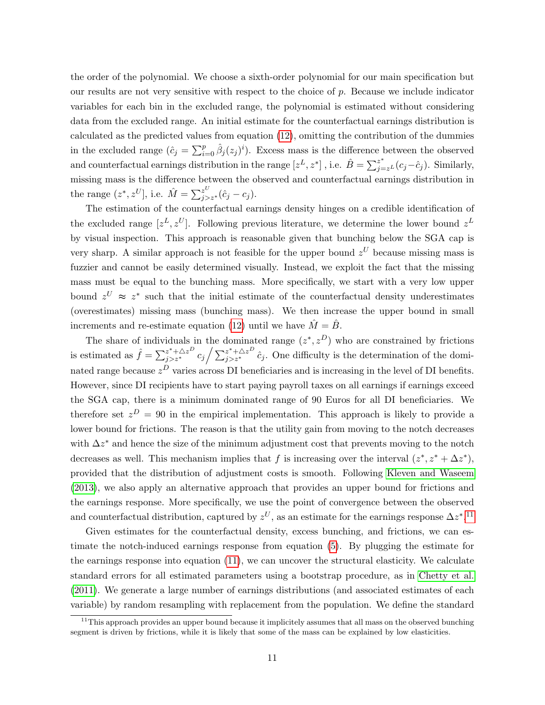the order of the polynomial. We choose a sixth-order polynomial for our main specification but our results are not very sensitive with respect to the choice of  $p$ . Because we include indicator variables for each bin in the excluded range, the polynomial is estimated without considering data from the excluded range. An initial estimate for the counterfactual earnings distribution is calculated as the predicted values from equation [\(12\)](#page-10-0), omitting the contribution of the dummies in the excluded range  $(\hat{c}_j = \sum_{i=0}^p \hat{\beta}_j(z_j)^i)$ . Excess mass is the difference between the observed and counterfactual earnings distribution in the range  $[z^L, z^*]$  , i.e.  $\hat{B} = \sum_{j=z^L}^{z^*} (c_j - \hat{c}_j)$ . Similarly, missing mass is the difference between the observed and counterfactual earnings distribution in the range  $(z^*, z^U]$ , i.e.  $\hat{M} = \sum_{j>z^*}^{z^U} (\hat{c}_j - c_j)$ .

The estimation of the counterfactual earnings density hinges on a credible identification of the excluded range  $[z^L, z^U]$ . Following previous literature, we determine the lower bound  $z^L$ by visual inspection. This approach is reasonable given that bunching below the SGA cap is very sharp. A similar approach is not feasible for the upper bound  $z^U$  because missing mass is fuzzier and cannot be easily determined visually. Instead, we exploit the fact that the missing mass must be equal to the bunching mass. More specifically, we start with a very low upper bound  $z^U \approx z^*$  such that the initial estimate of the counterfactual density underestimates (overestimates) missing mass (bunching mass). We then increase the upper bound in small increments and re-estimate equation [\(12\)](#page-10-0) until we have  $\hat{M} = \hat{B}$ .

The share of individuals in the dominated range  $(z^*, z^D)$  who are constrained by frictions is estimated as  $\hat{f} = \sum_{j>z^*}^{z^*+\triangle z^D} c_j / \sum_{j>z^*}^{z^*+\triangle z^D} \hat{c}_j$ . One difficulty is the determination of the dominated range because  $z^D$  varies across DI beneficiaries and is increasing in the level of DI benefits. However, since DI recipients have to start paying payroll taxes on all earnings if earnings exceed the SGA cap, there is a minimum dominated range of 90 Euros for all DI beneficiaries. We therefore set  $z^D = 90$  in the empirical implementation. This approach is likely to provide a lower bound for frictions. The reason is that the utility gain from moving to the notch decreases with  $\Delta z^*$  and hence the size of the minimum adjustment cost that prevents moving to the notch decreases as well. This mechanism implies that f is increasing over the interval  $(z^*, z^* + \Delta z^*)$ , provided that the distribution of adjustment costs is smooth. Following [Kleven and Waseem](#page-25-5) [\(2013\)](#page-25-5), we also apply an alternative approach that provides an upper bound for frictions and the earnings response. More specifically, we use the point of convergence between the observed and counterfactual distribution, captured by  $z^U$ , as an estimate for the earnings response  $\Delta z^*$ .<sup>[11](#page-0-0)</sup>

Given estimates for the counterfactual density, excess bunching, and frictions, we can estimate the notch-induced earnings response from equation [\(5\)](#page-9-0). By plugging the estimate for the earnings response into equation [\(11\)](#page-10-1), we can uncover the structural elasticity. We calculate standard errors for all estimated parameters using a bootstrap procedure, as in [Chetty et al.](#page-24-1) [\(2011\)](#page-24-1). We generate a large number of earnings distributions (and associated estimates of each variable) by random resampling with replacement from the population. We define the standard

<sup>&</sup>lt;sup>11</sup>This approach provides an upper bound because it implicitely assumes that all mass on the observed bunching segment is driven by frictions, while it is likely that some of the mass can be explained by low elasticities.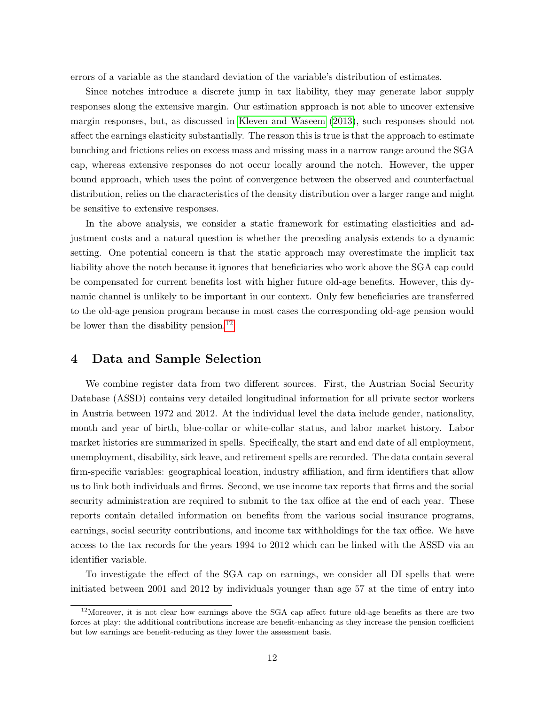errors of a variable as the standard deviation of the variable's distribution of estimates.

Since notches introduce a discrete jump in tax liability, they may generate labor supply responses along the extensive margin. Our estimation approach is not able to uncover extensive margin responses, but, as discussed in [Kleven and Waseem](#page-25-5) [\(2013\)](#page-25-5), such responses should not affect the earnings elasticity substantially. The reason this is true is that the approach to estimate bunching and frictions relies on excess mass and missing mass in a narrow range around the SGA cap, whereas extensive responses do not occur locally around the notch. However, the upper bound approach, which uses the point of convergence between the observed and counterfactual distribution, relies on the characteristics of the density distribution over a larger range and might be sensitive to extensive responses.

In the above analysis, we consider a static framework for estimating elasticities and adjustment costs and a natural question is whether the preceding analysis extends to a dynamic setting. One potential concern is that the static approach may overestimate the implicit tax liability above the notch because it ignores that beneficiaries who work above the SGA cap could be compensated for current benefits lost with higher future old-age benefits. However, this dynamic channel is unlikely to be important in our context. Only few beneficiaries are transferred to the old-age pension program because in most cases the corresponding old-age pension would be lower than the disability pension.<sup>[12](#page-0-0)</sup>

## <span id="page-12-0"></span>4 Data and Sample Selection

We combine register data from two different sources. First, the Austrian Social Security Database (ASSD) contains very detailed longitudinal information for all private sector workers in Austria between 1972 and 2012. At the individual level the data include gender, nationality, month and year of birth, blue-collar or white-collar status, and labor market history. Labor market histories are summarized in spells. Specifically, the start and end date of all employment, unemployment, disability, sick leave, and retirement spells are recorded. The data contain several firm-specific variables: geographical location, industry affiliation, and firm identifiers that allow us to link both individuals and firms. Second, we use income tax reports that firms and the social security administration are required to submit to the tax office at the end of each year. These reports contain detailed information on benefits from the various social insurance programs, earnings, social security contributions, and income tax withholdings for the tax office. We have access to the tax records for the years 1994 to 2012 which can be linked with the ASSD via an identifier variable.

To investigate the effect of the SGA cap on earnings, we consider all DI spells that were initiated between 2001 and 2012 by individuals younger than age 57 at the time of entry into

 $12$ Moreover, it is not clear how earnings above the SGA cap affect future old-age benefits as there are two forces at play: the additional contributions increase are benefit-enhancing as they increase the pension coefficient but low earnings are benefit-reducing as they lower the assessment basis.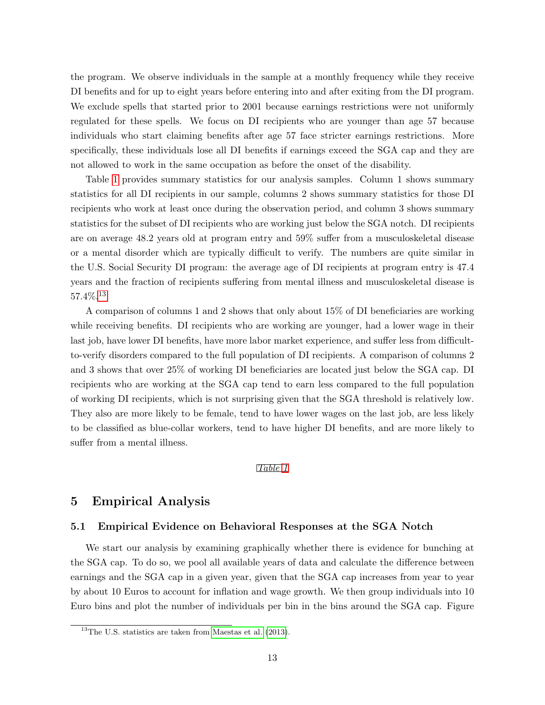the program. We observe individuals in the sample at a monthly frequency while they receive DI benefits and for up to eight years before entering into and after exiting from the DI program. We exclude spells that started prior to 2001 because earnings restrictions were not uniformly regulated for these spells. We focus on DI recipients who are younger than age 57 because individuals who start claiming benefits after age 57 face stricter earnings restrictions. More specifically, these individuals lose all DI benefits if earnings exceed the SGA cap and they are not allowed to work in the same occupation as before the onset of the disability.

Table [1](#page-27-0) provides summary statistics for our analysis samples. Column 1 shows summary statistics for all DI recipients in our sample, columns 2 shows summary statistics for those DI recipients who work at least once during the observation period, and column 3 shows summary statistics for the subset of DI recipients who are working just below the SGA notch. DI recipients are on average 48.2 years old at program entry and 59% suffer from a musculoskeletal disease or a mental disorder which are typically difficult to verify. The numbers are quite similar in the U.S. Social Security DI program: the average age of DI recipients at program entry is 47.4 years and the fraction of recipients suffering from mental illness and musculoskeletal disease is 57.4%.[13](#page-0-0)

A comparison of columns 1 and 2 shows that only about 15% of DI beneficiaries are working while receiving benefits. DI recipients who are working are younger, had a lower wage in their last job, have lower DI benefits, have more labor market experience, and suffer less from difficultto-verify disorders compared to the full population of DI recipients. A comparison of columns 2 and 3 shows that over 25% of working DI beneficiaries are located just below the SGA cap. DI recipients who are working at the SGA cap tend to earn less compared to the full population of working DI recipients, which is not surprising given that the SGA threshold is relatively low. They also are more likely to be female, tend to have lower wages on the last job, are less likely to be classified as blue-collar workers, tend to have higher DI benefits, and are more likely to suffer from a mental illness.

#### Table [1](#page-27-0)

# <span id="page-13-0"></span>5 Empirical Analysis

#### 5.1 Empirical Evidence on Behavioral Responses at the SGA Notch

We start our analysis by examining graphically whether there is evidence for bunching at the SGA cap. To do so, we pool all available years of data and calculate the difference between earnings and the SGA cap in a given year, given that the SGA cap increases from year to year by about 10 Euros to account for inflation and wage growth. We then group individuals into 10 Euro bins and plot the number of individuals per bin in the bins around the SGA cap. Figure

<sup>&</sup>lt;sup>13</sup>The U.S. statistics are taken from [Maestas et al.](#page-25-2) [\(2013\)](#page-25-2).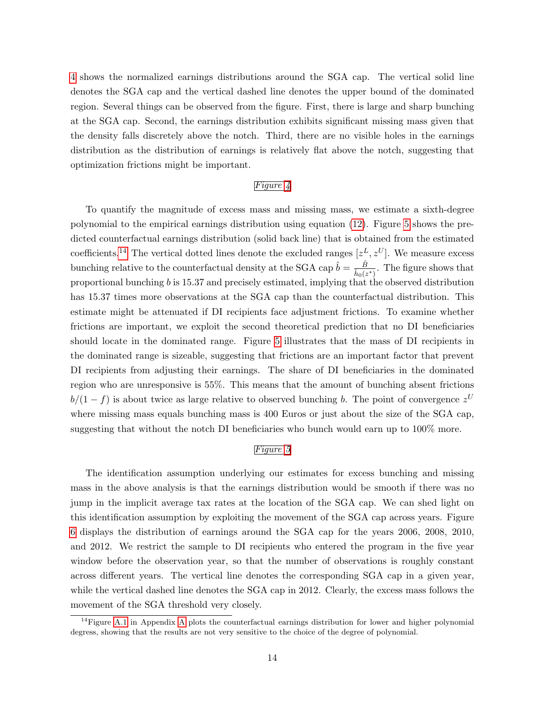[4](#page-34-0) shows the normalized earnings distributions around the SGA cap. The vertical solid line denotes the SGA cap and the vertical dashed line denotes the upper bound of the dominated region. Several things can be observed from the figure. First, there is large and sharp bunching at the SGA cap. Second, the earnings distribution exhibits significant missing mass given that the density falls discretely above the notch. Third, there are no visible holes in the earnings distribution as the distribution of earnings is relatively flat above the notch, suggesting that optimization frictions might be important.

#### Figure [4](#page-34-0)

To quantify the magnitude of excess mass and missing mass, we estimate a sixth-degree polynomial to the empirical earnings distribution using equation [\(12\)](#page-10-0). Figure [5](#page-34-1) shows the predicted counterfactual earnings distribution (solid back line) that is obtained from the estimated coefficients.<sup>[14](#page-0-0)</sup> The vertical dotted lines denote the excluded ranges  $[z^L, z^U]$ . We measure excess bunching relative to the counterfactual density at the SGA cap  $\hat{b} = \frac{\hat{B}}{\hat{i} + \hat{C}}$  $\frac{B}{\hat{h}_0(z^*)}$ . The figure shows that proportional bunching b is 15.37 and precisely estimated, implying that the observed distribution has 15.37 times more observations at the SGA cap than the counterfactual distribution. This estimate might be attenuated if DI recipients face adjustment frictions. To examine whether frictions are important, we exploit the second theoretical prediction that no DI beneficiaries should locate in the dominated range. Figure [5](#page-34-1) illustrates that the mass of DI recipients in the dominated range is sizeable, suggesting that frictions are an important factor that prevent DI recipients from adjusting their earnings. The share of DI beneficiaries in the dominated region who are unresponsive is 55%. This means that the amount of bunching absent frictions  $b/(1-f)$  is about twice as large relative to observed bunching b. The point of convergence  $z^U$ where missing mass equals bunching mass is 400 Euros or just about the size of the SGA cap, suggesting that without the notch DI beneficiaries who bunch would earn up to 100% more.

#### Figure [5](#page-34-1)

The identification assumption underlying our estimates for excess bunching and missing mass in the above analysis is that the earnings distribution would be smooth if there was no jump in the implicit average tax rates at the location of the SGA cap. We can shed light on this identification assumption by exploiting the movement of the SGA cap across years. Figure [6](#page-35-0) displays the distribution of earnings around the SGA cap for the years 2006, 2008, 2010, and 2012. We restrict the sample to DI recipients who entered the program in the five year window before the observation year, so that the number of observations is roughly constant across different years. The vertical line denotes the corresponding SGA cap in a given year, while the vertical dashed line denotes the SGA cap in 2012. Clearly, the excess mass follows the movement of the SGA threshold very closely.

<sup>&</sup>lt;sup>14</sup>Figure [A.1](#page-41-0) in [A](#page-41-1)ppendix A plots the counterfactual earnings distribution for lower and higher polynomial degress, showing that the results are not very sensitive to the choice of the degree of polynomial.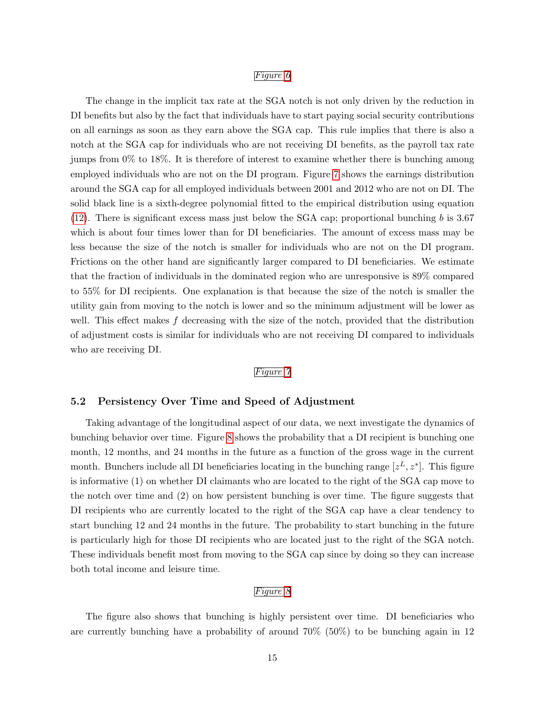#### Figure [6](#page-35-0)

The change in the implicit tax rate at the SGA notch is not only driven by the reduction in DI benefits but also by the fact that individuals have to start paying social security contributions on all earnings as soon as they earn above the SGA cap. This rule implies that there is also a notch at the SGA cap for individuals who are not receiving DI benefits, as the payroll tax rate jumps from 0% to 18%. It is therefore of interest to examine whether there is bunching among employed individuals who are not on the DI program. Figure [7](#page-36-0) shows the earnings distribution around the SGA cap for all employed individuals between 2001 and 2012 who are not on DI. The solid black line is a sixth-degree polynomial fitted to the empirical distribution using equation [\(12\)](#page-10-0). There is significant excess mass just below the SGA cap; proportional bunching b is  $3.67$ which is about four times lower than for DI beneficiaries. The amount of excess mass may be less because the size of the notch is smaller for individuals who are not on the DI program. Frictions on the other hand are significantly larger compared to DI beneficiaries. We estimate that the fraction of individuals in the dominated region who are unresponsive is 89% compared to 55% for DI recipients. One explanation is that because the size of the notch is smaller the utility gain from moving to the notch is lower and so the minimum adjustment will be lower as well. This effect makes  $f$  decreasing with the size of the notch, provided that the distribution of adjustment costs is similar for individuals who are not receiving DI compared to individuals who are receiving DI.

#### Figure [7](#page-36-0)

#### 5.2 Persistency Over Time and Speed of Adjustment

Taking advantage of the longitudinal aspect of our data, we next investigate the dynamics of bunching behavior over time. Figure [8](#page-36-1) shows the probability that a DI recipient is bunching one month, 12 months, and 24 months in the future as a function of the gross wage in the current month. Bunchers include all DI beneficiaries locating in the bunching range  $[z^L, z^*]$ . This figure is informative (1) on whether DI claimants who are located to the right of the SGA cap move to the notch over time and (2) on how persistent bunching is over time. The figure suggests that DI recipients who are currently located to the right of the SGA cap have a clear tendency to start bunching 12 and 24 months in the future. The probability to start bunching in the future is particularly high for those DI recipients who are located just to the right of the SGA notch. These individuals benefit most from moving to the SGA cap since by doing so they can increase both total income and leisure time.

#### Figure [8](#page-36-1)

The figure also shows that bunching is highly persistent over time. DI beneficiaries who are currently bunching have a probability of around 70% (50%) to be bunching again in 12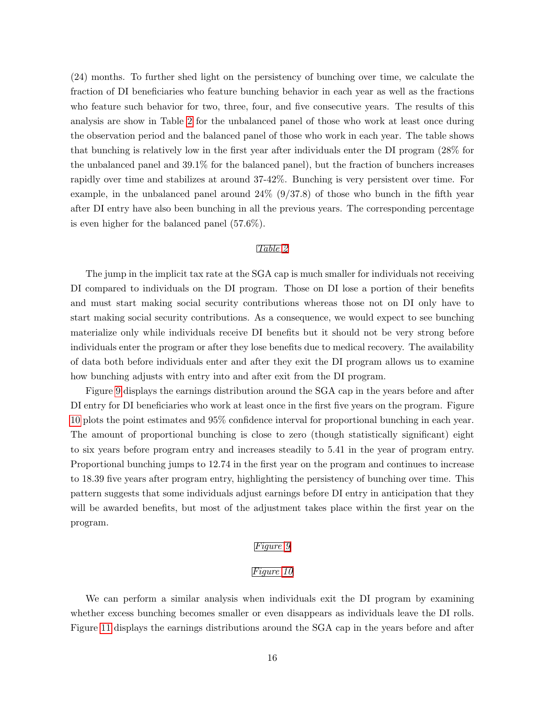(24) months. To further shed light on the persistency of bunching over time, we calculate the fraction of DI beneficiaries who feature bunching behavior in each year as well as the fractions who feature such behavior for two, three, four, and five consecutive years. The results of this analysis are show in Table [2](#page-28-0) for the unbalanced panel of those who work at least once during the observation period and the balanced panel of those who work in each year. The table shows that bunching is relatively low in the first year after individuals enter the DI program (28% for the unbalanced panel and 39.1% for the balanced panel), but the fraction of bunchers increases rapidly over time and stabilizes at around 37-42%. Bunching is very persistent over time. For example, in the unbalanced panel around  $24\%$  (9/37.8) of those who bunch in the fifth year after DI entry have also been bunching in all the previous years. The corresponding percentage is even higher for the balanced panel (57.6%).

#### Table [2](#page-28-0)

The jump in the implicit tax rate at the SGA cap is much smaller for individuals not receiving DI compared to individuals on the DI program. Those on DI lose a portion of their benefits and must start making social security contributions whereas those not on DI only have to start making social security contributions. As a consequence, we would expect to see bunching materialize only while individuals receive DI benefits but it should not be very strong before individuals enter the program or after they lose benefits due to medical recovery. The availability of data both before individuals enter and after they exit the DI program allows us to examine how bunching adjusts with entry into and after exit from the DI program.

Figure [9](#page-37-0) displays the earnings distribution around the SGA cap in the years before and after DI entry for DI beneficiaries who work at least once in the first five years on the program. Figure [10](#page-38-0) plots the point estimates and 95% confidence interval for proportional bunching in each year. The amount of proportional bunching is close to zero (though statistically significant) eight to six years before program entry and increases steadily to 5.41 in the year of program entry. Proportional bunching jumps to 12.74 in the first year on the program and continues to increase to 18.39 five years after program entry, highlighting the persistency of bunching over time. This pattern suggests that some individuals adjust earnings before DI entry in anticipation that they will be awarded benefits, but most of the adjustment takes place within the first year on the program.

#### Figure [9](#page-37-0)

#### Figure [10](#page-38-0)

We can perform a similar analysis when individuals exit the DI program by examining whether excess bunching becomes smaller or even disappears as individuals leave the DI rolls. Figure [11](#page-39-0) displays the earnings distributions around the SGA cap in the years before and after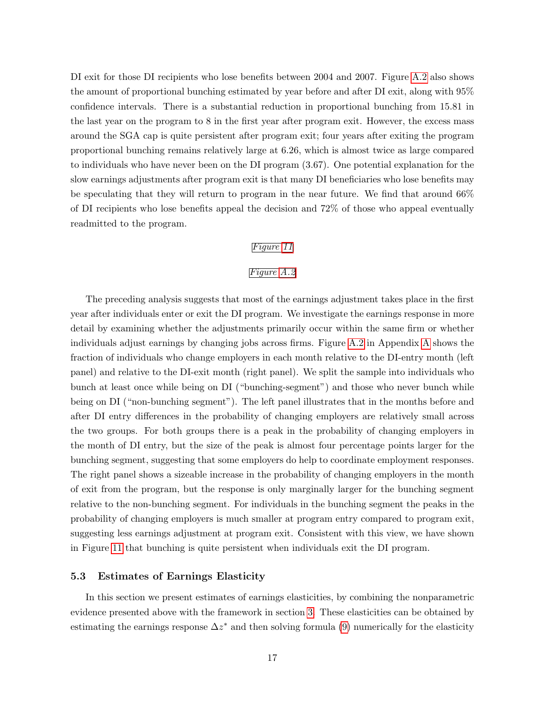DI exit for those DI recipients who lose benefits between 2004 and 2007. Figure [A.2](#page-42-0) also shows the amount of proportional bunching estimated by year before and after DI exit, along with 95% confidence intervals. There is a substantial reduction in proportional bunching from 15.81 in the last year on the program to 8 in the first year after program exit. However, the excess mass around the SGA cap is quite persistent after program exit; four years after exiting the program proportional bunching remains relatively large at 6.26, which is almost twice as large compared to individuals who have never been on the DI program (3.67). One potential explanation for the slow earnings adjustments after program exit is that many DI beneficiaries who lose benefits may be speculating that they will return to program in the near future. We find that around 66% of DI recipients who lose benefits appeal the decision and 72% of those who appeal eventually readmitted to the program.

#### Figure [11](#page-39-0)

#### Figure [A.2](#page-42-0)

The preceding analysis suggests that most of the earnings adjustment takes place in the first year after individuals enter or exit the DI program. We investigate the earnings response in more detail by examining whether the adjustments primarily occur within the same firm or whether individuals adjust earnings by changing jobs across firms. Figure [A.2](#page-42-0) in Appendix [A](#page-41-1) shows the fraction of individuals who change employers in each month relative to the DI-entry month (left panel) and relative to the DI-exit month (right panel). We split the sample into individuals who bunch at least once while being on DI ("bunching-segment") and those who never bunch while being on DI ("non-bunching segment"). The left panel illustrates that in the months before and after DI entry differences in the probability of changing employers are relatively small across the two groups. For both groups there is a peak in the probability of changing employers in the month of DI entry, but the size of the peak is almost four percentage points larger for the bunching segment, suggesting that some employers do help to coordinate employment responses. The right panel shows a sizeable increase in the probability of changing employers in the month of exit from the program, but the response is only marginally larger for the bunching segment relative to the non-bunching segment. For individuals in the bunching segment the peaks in the probability of changing employers is much smaller at program entry compared to program exit, suggesting less earnings adjustment at program exit. Consistent with this view, we have shown in Figure [11](#page-39-0) that bunching is quite persistent when individuals exit the DI program.

#### <span id="page-17-0"></span>5.3 Estimates of Earnings Elasticity

In this section we present estimates of earnings elasticities, by combining the nonparametric evidence presented above with the framework in section [3.](#page-7-0) These elasticities can be obtained by estimating the earnings response  $\Delta z^*$  and then solving formula [\(9\)](#page-9-1) numerically for the elasticity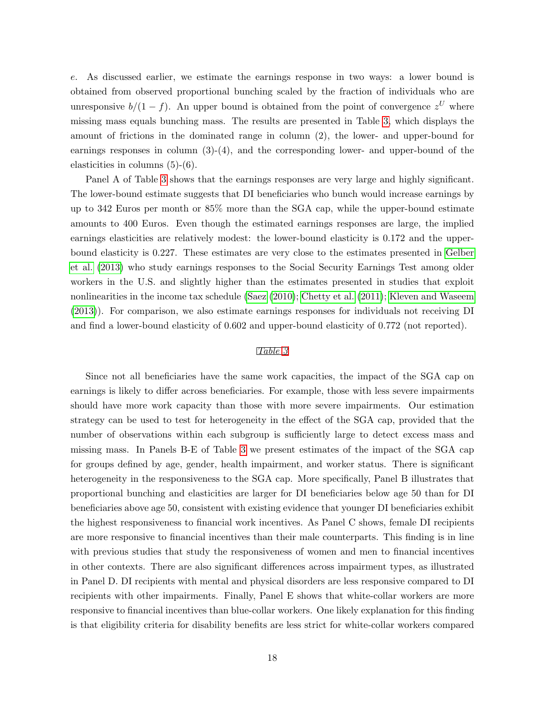e. As discussed earlier, we estimate the earnings response in two ways: a lower bound is obtained from observed proportional bunching scaled by the fraction of individuals who are unresponsive  $b/(1-f)$ . An upper bound is obtained from the point of convergence  $z^U$  where missing mass equals bunching mass. The results are presented in Table [3,](#page-29-0) which displays the amount of frictions in the dominated range in column (2), the lower- and upper-bound for earnings responses in column  $(3)-(4)$ , and the corresponding lower- and upper-bound of the elasticities in columns (5)-(6).

Panel A of Table [3](#page-29-0) shows that the earnings responses are very large and highly significant. The lower-bound estimate suggests that DI beneficiaries who bunch would increase earnings by up to 342 Euros per month or 85% more than the SGA cap, while the upper-bound estimate amounts to 400 Euros. Even though the estimated earnings responses are large, the implied earnings elasticities are relatively modest: the lower-bound elasticity is 0.172 and the upperbound elasticity is 0.227. These estimates are very close to the estimates presented in [Gelber](#page-25-6) [et al.](#page-25-6) [\(2013\)](#page-25-6) who study earnings responses to the Social Security Earnings Test among older workers in the U.S. and slightly higher than the estimates presented in studies that exploit nonlinearities in the income tax schedule [\(Saez](#page-26-0) [\(2010\)](#page-26-0); [Chetty et al.](#page-24-1) [\(2011\)](#page-24-1); [Kleven and Waseem](#page-25-5) [\(2013\)](#page-25-5)). For comparison, we also estimate earnings responses for individuals not receiving DI and find a lower-bound elasticity of 0.602 and upper-bound elasticity of 0.772 (not reported).

#### Table [3](#page-29-0)

Since not all beneficiaries have the same work capacities, the impact of the SGA cap on earnings is likely to differ across beneficiaries. For example, those with less severe impairments should have more work capacity than those with more severe impairments. Our estimation strategy can be used to test for heterogeneity in the effect of the SGA cap, provided that the number of observations within each subgroup is sufficiently large to detect excess mass and missing mass. In Panels B-E of Table [3](#page-29-0) we present estimates of the impact of the SGA cap for groups defined by age, gender, health impairment, and worker status. There is significant heterogeneity in the responsiveness to the SGA cap. More specifically, Panel B illustrates that proportional bunching and elasticities are larger for DI beneficiaries below age 50 than for DI beneficiaries above age 50, consistent with existing evidence that younger DI beneficiaries exhibit the highest responsiveness to financial work incentives. As Panel C shows, female DI recipients are more responsive to financial incentives than their male counterparts. This finding is in line with previous studies that study the responsiveness of women and men to financial incentives in other contexts. There are also significant differences across impairment types, as illustrated in Panel D. DI recipients with mental and physical disorders are less responsive compared to DI recipients with other impairments. Finally, Panel E shows that white-collar workers are more responsive to financial incentives than blue-collar workers. One likely explanation for this finding is that eligibility criteria for disability benefits are less strict for white-collar workers compared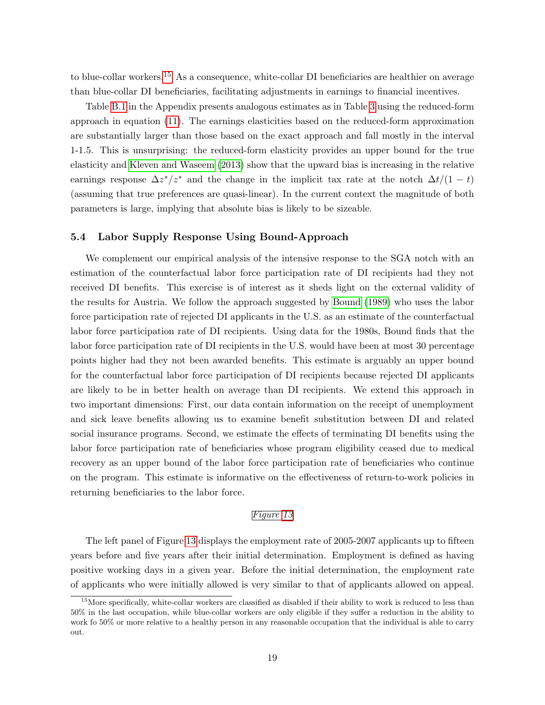to blue-collar workers.[15](#page-0-0) As a consequence, white-collar DI beneficiaries are healthier on average than blue-collar DI beneficiaries, facilitating adjustments in earnings to financial incentives.

Table [B.1](#page-45-0) in the Appendix presents analogous estimates as in Table [3](#page-29-0) using the reduced-form approach in equation [\(11\)](#page-10-1). The earnings elasticities based on the reduced-form approximation are substantially larger than those based on the exact approach and fall mostly in the interval 1-1.5. This is unsurprising: the reduced-form elasticity provides an upper bound for the true elasticity and [Kleven and Waseem](#page-25-5) [\(2013\)](#page-25-5) show that the upward bias is increasing in the relative earnings response  $\Delta z^*/z^*$  and the change in the implicit tax rate at the notch  $\Delta t/(1-t)$ (assuming that true preferences are quasi-linear). In the current context the magnitude of both parameters is large, implying that absolute bias is likely to be sizeable.

#### <span id="page-19-0"></span>5.4 Labor Supply Response Using Bound-Approach

We complement our empirical analysis of the intensive response to the SGA notch with an estimation of the counterfactual labor force participation rate of DI recipients had they not received DI benefits. This exercise is of interest as it sheds light on the external validity of the results for Austria. We follow the approach suggested by [Bound](#page-24-3) [\(1989\)](#page-24-3) who uses the labor force participation rate of rejected DI applicants in the U.S. as an estimate of the counterfactual labor force participation rate of DI recipients. Using data for the 1980s, Bound finds that the labor force participation rate of DI recipients in the U.S. would have been at most 30 percentage points higher had they not been awarded benefits. This estimate is arguably an upper bound for the counterfactual labor force participation of DI recipients because rejected DI applicants are likely to be in better health on average than DI recipients. We extend this approach in two important dimensions: First, our data contain information on the receipt of unemployment and sick leave benefits allowing us to examine benefit substitution between DI and related social insurance programs. Second, we estimate the effects of terminating DI benefits using the labor force participation rate of beneficiaries whose program eligibility ceased due to medical recovery as an upper bound of the labor force participation rate of beneficiaries who continue on the program. This estimate is informative on the effectiveness of return-to-work policies in returning beneficiaries to the labor force.

#### Figure [13](#page-40-0)

The left panel of Figure [13](#page-40-0) displays the employment rate of 2005-2007 applicants up to fifteen years before and five years after their initial determination. Employment is defined as having positive working days in a given year. Before the initial determination, the employment rate of applicants who were initially allowed is very similar to that of applicants allowed on appeal.

 $15$ More specifically, white-collar workers are classified as disabled if their ability to work is reduced to less than 50% in the last occupation, while blue-collar workers are only eligible if they suffer a reduction in the ability to work fo 50% or more relative to a healthy person in any reasonable occupation that the individual is able to carry out.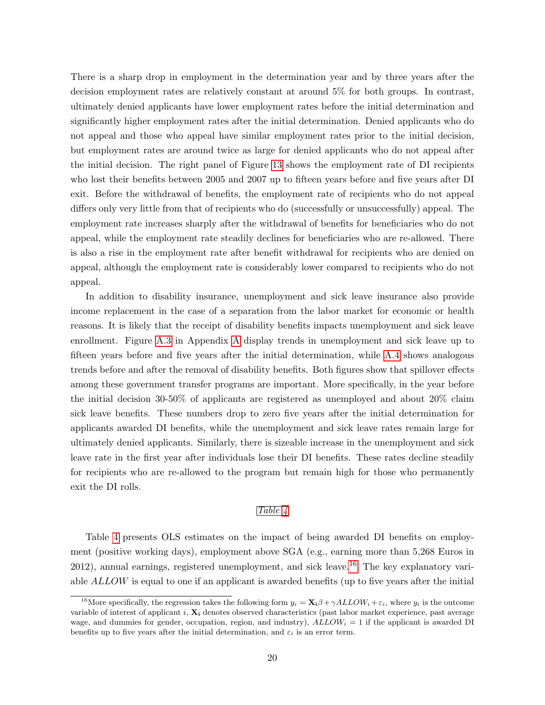There is a sharp drop in employment in the determination year and by three years after the decision employment rates are relatively constant at around 5% for both groups. In contrast, ultimately denied applicants have lower employment rates before the initial determination and significantly higher employment rates after the initial determination. Denied applicants who do not appeal and those who appeal have similar employment rates prior to the initial decision, but employment rates are around twice as large for denied applicants who do not appeal after the initial decision. The right panel of Figure [13](#page-40-0) shows the employment rate of DI recipients who lost their benefits between 2005 and 2007 up to fifteen years before and five years after DI exit. Before the withdrawal of benefits, the employment rate of recipients who do not appeal differs only very little from that of recipients who do (successfully or unsuccessfully) appeal. The employment rate increases sharply after the withdrawal of benefits for beneficiaries who do not appeal, while the employment rate steadily declines for beneficiaries who are re-allowed. There is also a rise in the employment rate after benefit withdrawal for recipients who are denied on appeal, although the employment rate is considerably lower compared to recipients who do not appeal.

In addition to disability insurance, unemployment and sick leave insurance also provide income replacement in the case of a separation from the labor market for economic or health reasons. It is likely that the receipt of disability benefits impacts unemployment and sick leave enrollment. Figure [A.3](#page-42-1) in Appendix [A](#page-41-1) display trends in unemployment and sick leave up to fifteen years before and five years after the initial determination, while [A.4](#page-43-0) shows analogous trends before and after the removal of disability benefits. Both figures show that spillover effects among these government transfer programs are important. More specifically, in the year before the initial decision 30-50% of applicants are registered as unemployed and about 20% claim sick leave benefits. These numbers drop to zero five years after the initial determination for applicants awarded DI benefits, while the unemployment and sick leave rates remain large for ultimately denied applicants. Similarly, there is sizeable increase in the unemployment and sick leave rate in the first year after individuals lose their DI benefits. These rates decline steadily for recipients who are re-allowed to the program but remain high for those who permanently exit the DI rolls.

#### Table [4](#page-30-0)

Table [4](#page-30-0) presents OLS estimates on the impact of being awarded DI benefits on employment (positive working days), employment above SGA (e.g., earning more than 5,268 Euros in  $2012$ ), annual earnings, registered unemployment, and sick leave.<sup>[16](#page-0-0)</sup> The key explanatory variable ALLOW is equal to one if an applicant is awarded benefits (up to five years after the initial

<sup>&</sup>lt;sup>16</sup>More specifically, the regression takes the following form  $y_i = \mathbf{X}_i \beta + \gamma ALLOW_i + \varepsilon_i$ , where  $y_i$  is the outcome variable of interest of applicant  $i$ ,  $\mathbf{X}_i$  denotes observed characteristics (past labor market experience, past average wage, and dummies for gender, occupation, region, and industry),  $ALLOW_i = 1$  if the applicant is awarded DI benefits up to five years after the initial determination, and  $\varepsilon_i$  is an error term.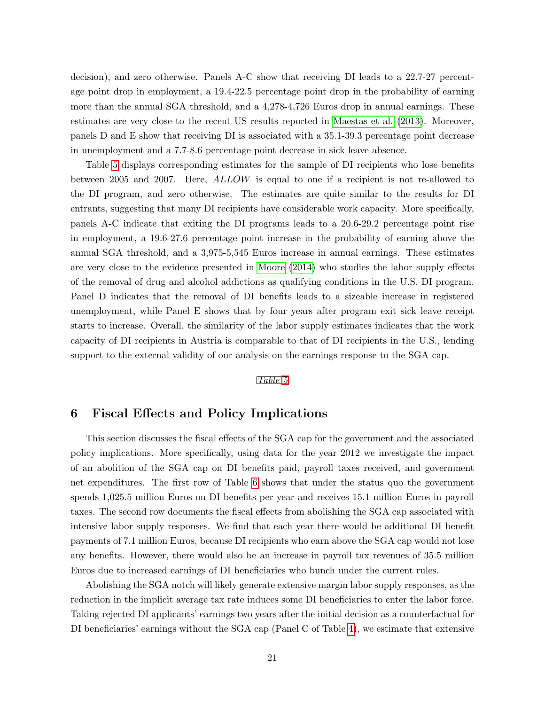decision), and zero otherwise. Panels A-C show that receiving DI leads to a 22.7-27 percentage point drop in employment, a 19.4-22.5 percentage point drop in the probability of earning more than the annual SGA threshold, and a 4,278-4,726 Euros drop in annual earnings. These estimates are very close to the recent US results reported in [Maestas et al.](#page-25-2) [\(2013\)](#page-25-2). Moreover, panels D and E show that receiving DI is associated with a 35.1-39.3 percentage point decrease in unemployment and a 7.7-8.6 percentage point decrease in sick leave absence.

Table [5](#page-31-0) displays corresponding estimates for the sample of DI recipients who lose benefits between 2005 and 2007. Here, ALLOW is equal to one if a recipient is not re-allowed to the DI program, and zero otherwise. The estimates are quite similar to the results for DI entrants, suggesting that many DI recipients have considerable work capacity. More specifically, panels A-C indicate that exiting the DI programs leads to a 20.6-29.2 percentage point rise in employment, a 19.6-27.6 percentage point increase in the probability of earning above the annual SGA threshold, and a 3,975-5,545 Euros increase in annual earnings. These estimates are very close to the evidence presented in [Moore](#page-25-3) [\(2014\)](#page-25-3) who studies the labor supply effects of the removal of drug and alcohol addictions as qualifying conditions in the U.S. DI program. Panel D indicates that the removal of DI benefits leads to a sizeable increase in registered unemployment, while Panel E shows that by four years after program exit sick leave receipt starts to increase. Overall, the similarity of the labor supply estimates indicates that the work capacity of DI recipients in Austria is comparable to that of DI recipients in the U.S., lending support to the external validity of our analysis on the earnings response to the SGA cap.

#### Table [5](#page-31-0)

# <span id="page-21-0"></span>6 Fiscal Effects and Policy Implications

This section discusses the fiscal effects of the SGA cap for the government and the associated policy implications. More specifically, using data for the year 2012 we investigate the impact of an abolition of the SGA cap on DI benefits paid, payroll taxes received, and government net expenditures. The first row of Table [6](#page-32-1) shows that under the status quo the government spends 1,025.5 million Euros on DI benefits per year and receives 15.1 million Euros in payroll taxes. The second row documents the fiscal effects from abolishing the SGA cap associated with intensive labor supply responses. We find that each year there would be additional DI benefit payments of 7.1 million Euros, because DI recipients who earn above the SGA cap would not lose any benefits. However, there would also be an increase in payroll tax revenues of 35.5 million Euros due to increased earnings of DI beneficiaries who bunch under the current rules.

Abolishing the SGA notch will likely generate extensive margin labor supply responses, as the reduction in the implicit average tax rate induces some DI beneficiaries to enter the labor force. Taking rejected DI applicants' earnings two years after the initial decision as a counterfactual for DI beneficiaries' earnings without the SGA cap (Panel C of Table [4\)](#page-30-0), we estimate that extensive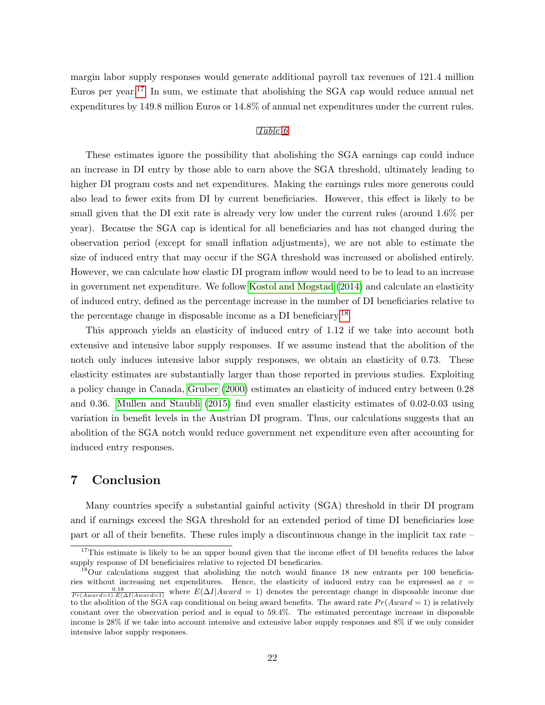margin labor supply responses would generate additional payroll tax revenues of 121.4 million Euros per year.<sup>[17](#page-0-0)</sup> In sum, we estimate that abolishing the SGA cap would reduce annual net expenditures by 149.8 million Euros or 14.8% of annual net expenditures under the current rules.

#### Table [6](#page-32-1)

These estimates ignore the possibility that abolishing the SGA earnings cap could induce an increase in DI entry by those able to earn above the SGA threshold, ultimately leading to higher DI program costs and net expenditures. Making the earnings rules more generous could also lead to fewer exits from DI by current beneficiaries. However, this effect is likely to be small given that the DI exit rate is already very low under the current rules (around 1.6% per year). Because the SGA cap is identical for all beneficiaries and has not changed during the observation period (except for small inflation adjustments), we are not able to estimate the size of induced entry that may occur if the SGA threshold was increased or abolished entirely. However, we can calculate how elastic DI program inflow would need to be to lead to an increase in government net expenditure. We follow [Kostol and Mogstad](#page-25-1) [\(2014\)](#page-25-1) and calculate an elasticity of induced entry, defined as the percentage increase in the number of DI beneficiaries relative to the percentage change in disposable income as a DI beneficiary.<sup>[18](#page-0-0)</sup>

This approach yields an elasticity of induced entry of 1.12 if we take into account both extensive and intensive labor supply responses. If we assume instead that the abolition of the notch only induces intensive labor supply responses, we obtain an elasticity of 0.73. These elasticity estimates are substantially larger than those reported in previous studies. Exploiting a policy change in Canada, [Gruber](#page-25-11) [\(2000\)](#page-25-11) estimates an elasticity of induced entry between 0.28 and 0.36. [Mullen and Staubli](#page-25-12) [\(2015\)](#page-25-12) find even smaller elasticity estimates of 0.02-0.03 using variation in benefit levels in the Austrian DI program. Thus, our calculations suggests that an abolition of the SGA notch would reduce government net expenditure even after accounting for induced entry responses.

# <span id="page-22-0"></span>7 Conclusion

Many countries specify a substantial gainful activity (SGA) threshold in their DI program and if earnings exceed the SGA threshold for an extended period of time DI beneficiaries lose part or all of their benefits. These rules imply a discontinuous change in the implicit tax rate –

<sup>&</sup>lt;sup>17</sup>This estimate is likely to be an upper bound given that the income effect of DI benefits reduces the labor supply response of DI beneficiaires relative to rejected DI beneficaries.

<sup>&</sup>lt;sup>18</sup>Our calculations suggest that abolishing the notch would finance 18 new entrants per 100 beneficiaries without increasing net expenditures. Hence, the elasticity of induced entry can be expressed as  $\varepsilon =$  $\frac{0.18}{Pr(Award=1) \cdot E(\Delta I | Award=1)}$  where  $E(\Delta I | Award=1)$  denotes the percentage change in disposable income due to the abolition of the SGA cap conditional on being award benefits. The award rate  $Pr(Award = 1)$  is relatively constant over the observation period and is equal to 59.4%. The estimated percentage increase in disposable income is 28% if we take into account intensive and extensive labor supply responses and 8% if we only consider intensive labor supply responses.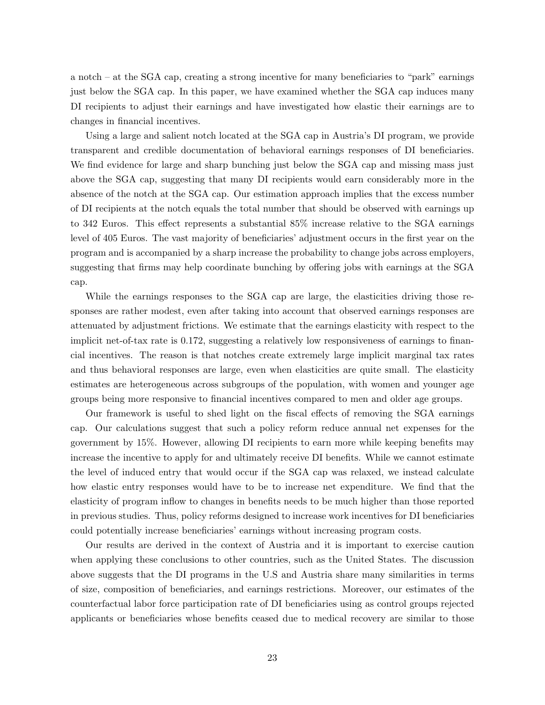a notch – at the SGA cap, creating a strong incentive for many beneficiaries to "park" earnings just below the SGA cap. In this paper, we have examined whether the SGA cap induces many DI recipients to adjust their earnings and have investigated how elastic their earnings are to changes in financial incentives.

Using a large and salient notch located at the SGA cap in Austria's DI program, we provide transparent and credible documentation of behavioral earnings responses of DI beneficiaries. We find evidence for large and sharp bunching just below the SGA cap and missing mass just above the SGA cap, suggesting that many DI recipients would earn considerably more in the absence of the notch at the SGA cap. Our estimation approach implies that the excess number of DI recipients at the notch equals the total number that should be observed with earnings up to 342 Euros. This effect represents a substantial 85% increase relative to the SGA earnings level of 405 Euros. The vast majority of beneficiaries' adjustment occurs in the first year on the program and is accompanied by a sharp increase the probability to change jobs across employers, suggesting that firms may help coordinate bunching by offering jobs with earnings at the SGA cap.

While the earnings responses to the SGA cap are large, the elasticities driving those responses are rather modest, even after taking into account that observed earnings responses are attenuated by adjustment frictions. We estimate that the earnings elasticity with respect to the implicit net-of-tax rate is 0.172, suggesting a relatively low responsiveness of earnings to financial incentives. The reason is that notches create extremely large implicit marginal tax rates and thus behavioral responses are large, even when elasticities are quite small. The elasticity estimates are heterogeneous across subgroups of the population, with women and younger age groups being more responsive to financial incentives compared to men and older age groups.

Our framework is useful to shed light on the fiscal effects of removing the SGA earnings cap. Our calculations suggest that such a policy reform reduce annual net expenses for the government by 15%. However, allowing DI recipients to earn more while keeping benefits may increase the incentive to apply for and ultimately receive DI benefits. While we cannot estimate the level of induced entry that would occur if the SGA cap was relaxed, we instead calculate how elastic entry responses would have to be to increase net expenditure. We find that the elasticity of program inflow to changes in benefits needs to be much higher than those reported in previous studies. Thus, policy reforms designed to increase work incentives for DI beneficiaries could potentially increase beneficiaries' earnings without increasing program costs.

Our results are derived in the context of Austria and it is important to exercise caution when applying these conclusions to other countries, such as the United States. The discussion above suggests that the DI programs in the U.S and Austria share many similarities in terms of size, composition of beneficiaries, and earnings restrictions. Moreover, our estimates of the counterfactual labor force participation rate of DI beneficiaries using as control groups rejected applicants or beneficiaries whose benefits ceased due to medical recovery are similar to those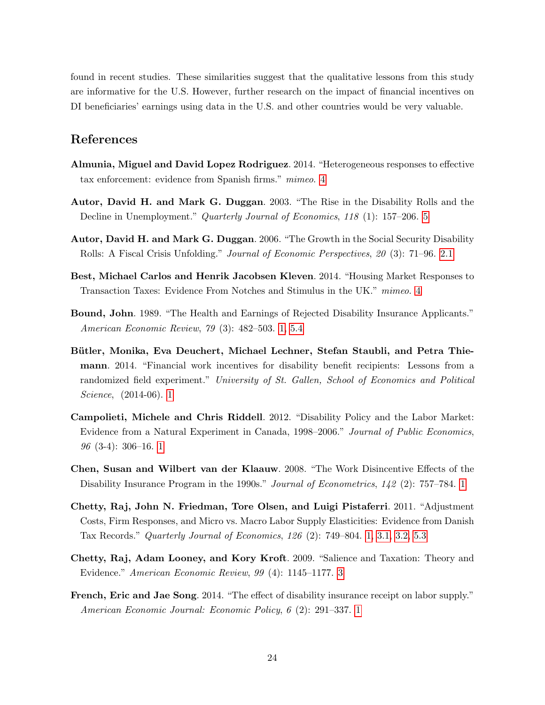found in recent studies. These similarities suggest that the qualitative lessons from this study are informative for the U.S. However, further research on the impact of financial incentives on DI beneficiaries' earnings using data in the U.S. and other countries would be very valuable.

## References

- <span id="page-24-8"></span>Almunia, Miguel and David Lopez Rodriguez. 2014. "Heterogeneous responses to effective tax enforcement: evidence from Spanish firms." mimeo. [4](#page-1-0)
- <span id="page-24-9"></span>Autor, David H. and Mark G. Duggan. 2003. "The Rise in the Disability Rolls and the Decline in Unemployment." Quarterly Journal of Economics, 118 (1): 157–206. [5](#page-4-1)
- <span id="page-24-10"></span>Autor, David H. and Mark G. Duggan. 2006. "The Growth in the Social Security Disability Rolls: A Fiscal Crisis Unfolding." Journal of Economic Perspectives, 20 (3): 71–96. [2.1](#page-4-1)
- <span id="page-24-7"></span>Best, Michael Carlos and Henrik Jacobsen Kleven. 2014. "Housing Market Responses to Transaction Taxes: Evidence From Notches and Stimulus in the UK." mimeo. [4](#page-1-0)
- <span id="page-24-3"></span>Bound, John. 1989. "The Health and Earnings of Rejected Disability Insurance Applicants." American Economic Review, 79 (3): 482–503. [1,](#page-1-0) [5.4](#page-19-0)
- <span id="page-24-0"></span>Bütler, Monika, Eva Deuchert, Michael Lechner, Stefan Staubli, and Petra Thiemann. 2014. "Financial work incentives for disability benefit recipients: Lessons from a randomized field experiment." University of St. Gallen, School of Economics and Political Science, (2014-06). [1](#page-1-0)
- <span id="page-24-4"></span>Campolieti, Michele and Chris Riddell. 2012. "Disability Policy and the Labor Market: Evidence from a Natural Experiment in Canada, 1998–2006." Journal of Public Economics, 96 (3-4): 306–16. [1](#page-1-0)
- <span id="page-24-5"></span>Chen, Susan and Wilbert van der Klaauw. 2008. "The Work Disincentive Effects of the Disability Insurance Program in the [1](#page-1-0)990s." *Journal of Econometrics*, 142 (2): 757–784. 1
- <span id="page-24-1"></span>Chetty, Raj, John N. Friedman, Tore Olsen, and Luigi Pistaferri. 2011. "Adjustment Costs, Firm Responses, and Micro vs. Macro Labor Supply Elasticities: Evidence from Danish Tax Records." Quarterly Journal of Economics, 126 (2): 749–804. [1,](#page-1-0) [3.1,](#page-7-3) [3.2,](#page-10-0) [5.3](#page-17-0)
- <span id="page-24-2"></span>Chetty, Raj, Adam Looney, and Kory Kroft. 2009. "Salience and Taxation: Theory and Evidence." American Economic Review, 99 (4): 1145–1177. [3](#page-1-0)
- <span id="page-24-6"></span>French, Eric and Jae Song. 2014. "The effect of disability insurance receipt on labor supply." American Economic Journal: Economic Policy, 6 (2): 291–337. [1](#page-1-0)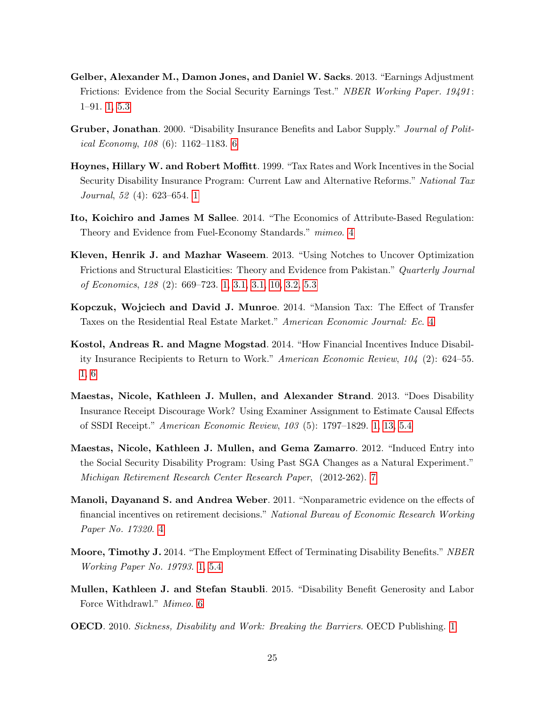- <span id="page-25-6"></span>Gelber, Alexander M., Damon Jones, and Daniel W. Sacks. 2013. "Earnings Adjustment Frictions: Evidence from the Social Security Earnings Test." NBER Working Paper. 19491: 1–91. [1,](#page-1-0) [5.3](#page-17-0)
- <span id="page-25-11"></span>Gruber, Jonathan. 2000. "Disability Insurance Benefits and Labor Supply." Journal of Political Economy, 108 (6): 1162–1183. [6](#page-21-0)
- <span id="page-25-4"></span>Hoynes, Hillary W. and Robert Moffitt. 1999. "Tax Rates and Work Incentives in the Social Security Disability Insurance Program: Current Law and Alternative Reforms." National Tax Journal, 52 (4): 623–654. [1](#page-1-0)
- <span id="page-25-7"></span>Ito, Koichiro and James M Sallee. 2014. "The Economics of Attribute-Based Regulation: Theory and Evidence from Fuel-Economy Standards." mimeo. [4](#page-1-0)
- <span id="page-25-5"></span>Kleven, Henrik J. and Mazhar Waseem. 2013. "Using Notches to Uncover Optimization Frictions and Structural Elasticities: Theory and Evidence from Pakistan." Quarterly Journal of Economics, 128 (2): 669–723. [1,](#page-1-0) [3.1,](#page-7-3) [3.1,](#page-9-1) [10,](#page-10-1) [3.2,](#page-10-0) [5.3](#page-17-0)
- <span id="page-25-8"></span>Kopczuk, Wojciech and David J. Munroe. 2014. "Mansion Tax: The Effect of Transfer Taxes on the Residential Real Estate Market." American Economic Journal: Ec. [4](#page-1-0)
- <span id="page-25-1"></span>Kostol, Andreas R. and Magne Mogstad. 2014. "How Financial Incentives Induce Disability Insurance Recipients to Return to Work." American Economic Review, 104 (2): 624–55. [1,](#page-1-0) [6](#page-21-0)
- <span id="page-25-2"></span>Maestas, Nicole, Kathleen J. Mullen, and Alexander Strand. 2013. "Does Disability Insurance Receipt Discourage Work? Using Examiner Assignment to Estimate Causal Effects of SSDI Receipt." American Economic Review, 103 (5): 1797–1829. [1,](#page-1-0) [13,](#page-12-0) [5.4](#page-19-0)
- <span id="page-25-10"></span>Maestas, Nicole, Kathleen J. Mullen, and Gema Zamarro. 2012. "Induced Entry into the Social Security Disability Program: Using Past SGA Changes as a Natural Experiment." Michigan Retirement Research Center Research Paper, (2012-262). [7](#page-6-1)
- <span id="page-25-9"></span>Manoli, Dayanand S. and Andrea Weber. 2011. "Nonparametric evidence on the effects of financial incentives on retirement decisions." National Bureau of Economic Research Working Paper No. 17320. [4](#page-1-0)
- <span id="page-25-3"></span>Moore, Timothy J. 2014. "The Employment Effect of Terminating Disability Benefits." NBER Working Paper No. 19793. [1,](#page-1-0) [5.4](#page-19-0)
- <span id="page-25-12"></span>Mullen, Kathleen J. and Stefan Staubli. 2015. "Disability Benefit Generosity and Labor Force Withdrawl." Mimeo. [6](#page-21-0)
- <span id="page-25-0"></span>OECD. 2010. Sickness, Disability and Work: Breaking the Barriers. OECD Publishing. [1](#page-1-0)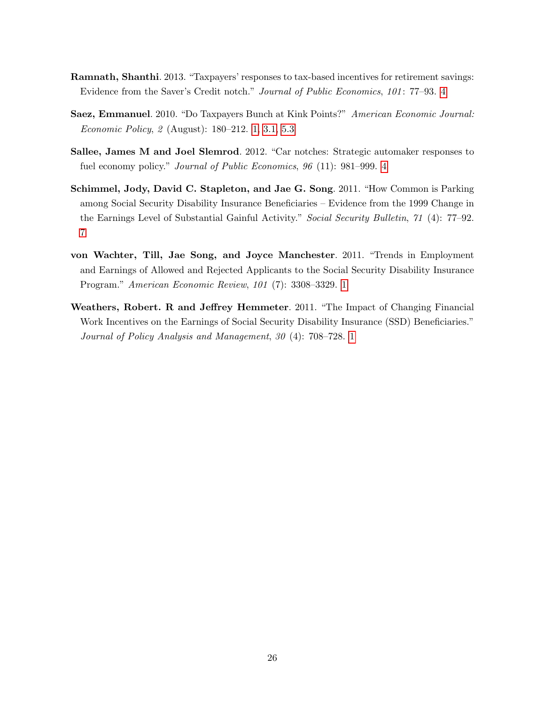- <span id="page-26-4"></span>Ramnath, Shanthi. 2013. "Taxpayers' responses to tax-based incentives for retirement savings: Evidence from the Saver's Credit notch." Journal of Public Economics, 101: 77–93. [4](#page-1-0)
- <span id="page-26-0"></span>Saez, Emmanuel. 2010. "Do Taxpayers Bunch at Kink Points?" American Economic Journal: Economic Policy, 2 (August): 180–212. [1,](#page-1-0) [3.1,](#page-7-3) [5.3](#page-17-0)
- <span id="page-26-3"></span>Sallee, James M and Joel Slemrod. 2012. "Car notches: Strategic automaker responses to fuel economy policy." Journal of Public Economics, 96 (11): 981–999. [4](#page-1-0)
- <span id="page-26-5"></span>Schimmel, Jody, David C. Stapleton, and Jae G. Song. 2011. "How Common is Parking among Social Security Disability Insurance Beneficiaries – Evidence from the 1999 Change in the Earnings Level of Substantial Gainful Activity." Social Security Bulletin, 71 (4): 77–92. [7](#page-6-1)
- <span id="page-26-2"></span>von Wachter, Till, Jae Song, and Joyce Manchester. 2011. "Trends in Employment and Earnings of Allowed and Rejected Applicants to the Social Security Disability Insurance Program." American Economic Review, 101 (7): 3308–3329. [1](#page-1-0)
- <span id="page-26-1"></span>Weathers, Robert. R and Jeffrey Hemmeter. 2011. "The Impact of Changing Financial Work Incentives on the Earnings of Social Security Disability Insurance (SSD) Beneficiaries." Journal of Policy Analysis and Management, 30 (4): 708–728. [1](#page-1-0)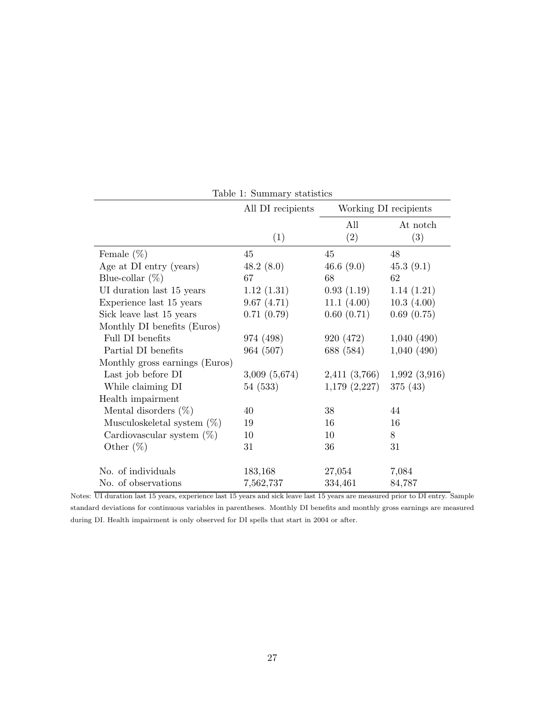|                                | All DI recipients | Working DI recipients |                 |
|--------------------------------|-------------------|-----------------------|-----------------|
|                                | (1)               | All<br>(2)            | At notch<br>(3) |
| Female $(\%)$                  | 45                | 45                    | 48              |
| Age at DI entry (years)        | 48.2 $(8.0)$      | 46.6 $(9.0)$          | 45.3(9.1)       |
| Blue-collar $(\%)$             | 67                | 68                    | 62              |
| UI duration last 15 years      | 1.12(1.31)        | 0.93(1.19)            | 1.14(1.21)      |
| Experience last 15 years       | 9.67(4.71)        | 11.1 $(4.00)$         | 10.3(4.00)      |
| Sick leave last 15 years       | 0.71(0.79)        | 0.60(0.71)            | 0.69(0.75)      |
| Monthly DI benefits (Euros)    |                   |                       |                 |
| Full DI benefits               | 974 (498)         | 920 (472)             | 1,040(490)      |
| Partial DI benefits            | 964 (507)         | 688 (584)             | 1,040(490)      |
| Monthly gross earnings (Euros) |                   |                       |                 |
| Last job before DI             | 3,009(5,674)      | 2,411(3,766)          | 1,992(3,916)    |
| While claiming DI              | 54 (533)          | 1,179(2,227)          | 375 (43)        |
| Health impairment              |                   |                       |                 |
| Mental disorders $(\%)$        | 40                | 38                    | 44              |
| Musculoskeletal system $(\%)$  | 19                | 16                    | 16              |
| Cardiovascular system $(\%)$   | 10                | 10                    | 8               |
| Other $(\%)$                   | 31                | 36                    | 31              |
| No. of individuals             | 183,168           | 27,054                | 7,084           |
| No. of observations            | 7,562,737         | 334,461               | 84,787          |

<span id="page-27-0"></span>Table 1: Summary statistics

Notes: UI duration last 15 years, experience last 15 years and sick leave last 15 years are measured prior to DI entry. Sample standard deviations for continuous variables in parentheses. Monthly DI benefits and monthly gross earnings are measured during DI. Health impairment is only observed for DI spells that start in 2004 or after.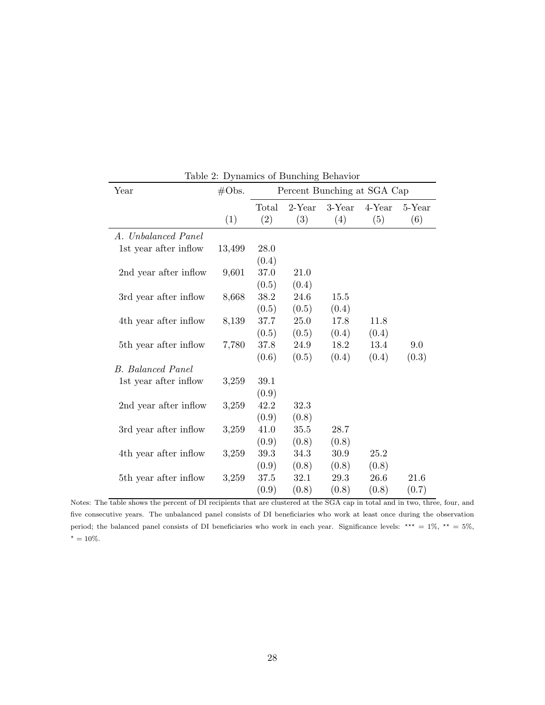| Year                     | $\#Obs.$ | Percent Bunching at SGA Cap |           |           |           |        |
|--------------------------|----------|-----------------------------|-----------|-----------|-----------|--------|
|                          |          | Total                       | $2$ -Year | $3$ -Year | $4$ -Year | 5-Year |
|                          | (1)      | (2)                         | (3)       | (4)       | (5)       | (6)    |
| A. Unbalanced Panel      |          |                             |           |           |           |        |
| 1st year after inflow    | 13,499   | 28.0                        |           |           |           |        |
|                          |          | (0.4)                       |           |           |           |        |
| 2nd year after inflow    | 9,601    | $37.0\,$                    | 21.0      |           |           |        |
|                          |          | (0.5)                       | (0.4)     |           |           |        |
| 3rd year after inflow    | 8,668    | 38.2                        | 24.6      | 15.5      |           |        |
|                          |          | (0.5)                       | (0.5)     | (0.4)     |           |        |
| 4th year after inflow    | 8,139    | 37.7                        | 25.0      | 17.8      | 11.8      |        |
|                          |          | (0.5)                       | (0.5)     | (0.4)     | (0.4)     |        |
| 5th year after inflow    | 7,780    | 37.8                        | 24.9      | 18.2      | 13.4      | 9.0    |
|                          |          | (0.6)                       | (0.5)     | (0.4)     | (0.4)     | (0.3)  |
| <b>B.</b> Balanced Panel |          |                             |           |           |           |        |
| 1st year after inflow    | 3,259    | $39.1\,$                    |           |           |           |        |
|                          |          | (0.9)                       |           |           |           |        |
| 2nd year after inflow    | 3,259    | 42.2                        | 32.3      |           |           |        |
|                          |          | (0.9)                       | (0.8)     |           |           |        |
| 3rd year after inflow    | 3,259    | 41.0                        | 35.5      | 28.7      |           |        |
|                          |          | (0.9)                       | (0.8)     | (0.8)     |           |        |
| 4th year after inflow    | 3,259    | 39.3                        | 34.3      | 30.9      | 25.2      |        |
|                          |          | (0.9)                       | (0.8)     | (0.8)     | (0.8)     |        |
| 5th year after inflow    | 3,259    | 37.5                        | 32.1      | 29.3      | 26.6      | 21.6   |
|                          |          | (0.9)                       | (0.8)     | (0.8)     | (0.8)     | (0.7)  |

<span id="page-28-0"></span>Table 2: Dynamics of Bunching Behavior

Notes: The table shows the percent of DI recipients that are clustered at the SGA cap in total and in two, three, four, and five consecutive years. The unbalanced panel consists of DI beneficiaries who work at least once during the observation period; the balanced panel consists of DI beneficiaries who work in each year. Significance levels: \*\*\* = 1%, \*\* = 5%,  $^{\star}$  = 10%.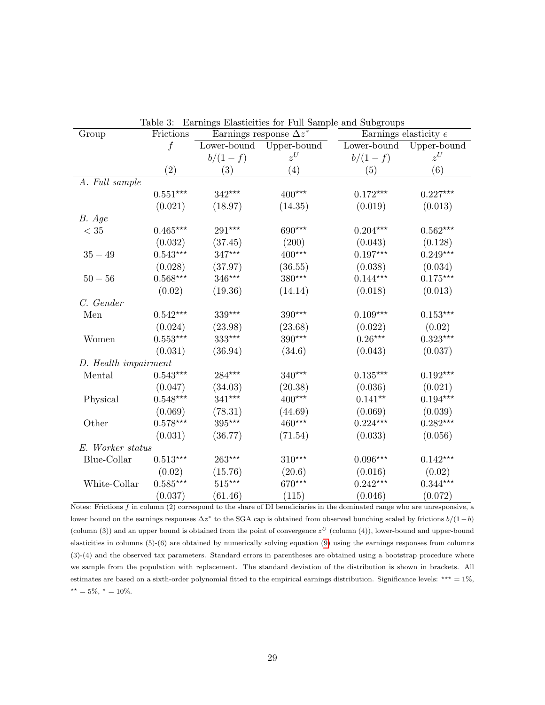| Table 3:<br>Earnings Elasticities for Full Sample and Subgroups |                   |                                |              |                       |              |  |
|-----------------------------------------------------------------|-------------------|--------------------------------|--------------|-----------------------|--------------|--|
| Group                                                           | Frictions         | Earnings response $\Delta z^*$ |              | Earnings elasticity e |              |  |
|                                                                 | $\overline{f}$    | Lower-bound                    | Upper-bound  | Lower-bound           | Upper-bound  |  |
|                                                                 |                   | $b/(1-f)$                      | $z^{\cal U}$ | $b/(1-f)$             | $z^{\cal U}$ |  |
|                                                                 | $\left( 2\right)$ | (3)                            | (4)          | (5)                   | (6)          |  |
| A. Full sample                                                  |                   |                                |              |                       |              |  |
|                                                                 | $0.551***$        | $342***$                       | $400***$     | $0.172***$            | $0.227***$   |  |
|                                                                 | (0.021)           | (18.97)                        | (14.35)      | (0.019)               | (0.013)      |  |
| B. Age                                                          |                   |                                |              |                       |              |  |
| $<$ 35                                                          | $0.465***$        | $291***$                       | $690***$     | $0.204***$            | $0.562***$   |  |
|                                                                 | (0.032)           | (37.45)                        | (200)        | (0.043)               | (0.128)      |  |
| $35 - 49$                                                       | $0.543***$        | $347***$                       | $400***$     | $0.197***$            | $0.249***$   |  |
|                                                                 | (0.028)           | (37.97)                        | (36.55)      | (0.038)               | (0.034)      |  |
| $50 - 56$                                                       | $0.568***$        | $346***$                       | $380***$     | $0.144***$            | $0.175***$   |  |
|                                                                 | (0.02)            | (19.36)                        | (14.14)      | (0.018)               | (0.013)      |  |
| C. Gender                                                       |                   |                                |              |                       |              |  |
| Men                                                             | $0.542***$        | $339***$                       | $390***$     | $0.109***$            | $0.153***$   |  |
|                                                                 | (0.024)           | (23.98)                        | (23.68)      | (0.022)               | (0.02)       |  |
| Women                                                           | $0.553***$        | $333***$                       | $390***$     | $0.26***$             | $0.323***$   |  |
|                                                                 | (0.031)           | (36.94)                        | (34.6)       | (0.043)               | (0.037)      |  |
| D. Health impairment                                            |                   |                                |              |                       |              |  |
| Mental                                                          | $0.543***$        | $284***$                       | $340***$     | $0.135***$            | $0.192***$   |  |
|                                                                 | (0.047)           | (34.03)                        | (20.38)      | (0.036)               | (0.021)      |  |
| Physical                                                        | $0.548***$        | $341***$                       | $400***$     | $0.141**$             | $0.194***$   |  |
|                                                                 | (0.069)           | (78.31)                        | (44.69)      | (0.069)               | (0.039)      |  |
| Other                                                           | $0.578***$        | $395***$                       | $460***$     | $0.224***$            | $0.282***$   |  |
|                                                                 | (0.031)           | (36.77)                        | (71.54)      | (0.033)               | (0.056)      |  |
| E. Worker status                                                |                   |                                |              |                       |              |  |
| Blue-Collar                                                     | $0.513***$        | $263***$                       | $310***$     | $0.096***$            | $0.142***$   |  |
|                                                                 | (0.02)            | (15.76)                        | (20.6)       | (0.016)               | (0.02)       |  |
| White-Collar                                                    | $0.585***$        | $515***$                       | $670***$     | $0.242***$            | $0.344***$   |  |
|                                                                 | (0.037)           | (61.46)                        | (115)        | (0.046)               | (0.072)      |  |

<span id="page-29-0"></span>Table 3: Earnings Elasticities for Full Sample and Subgroups

Notes: Frictions  $f$  in column  $(2)$  correspond to the share of DI beneficiaries in the dominated range who are unresponsive, a lower bound on the earnings responses  $\Delta z^*$  to the SGA cap is obtained from observed bunching scaled by frictions  $b/(1-b)$ (column (3)) and an upper bound is obtained from the point of convergence  $z^U$  (column (4)), lower-bound and upper-bound elasticities in columns (5)-(6) are obtained by numerically solving equation [\(9\)](#page-9-1) using the earnings responses from columns (3)-(4) and the observed tax parameters. Standard errors in parentheses are obtained using a bootstrap procedure where we sample from the population with replacement. The standard deviation of the distribution is shown in brackets. All estimates are based on a sixth-order polynomial fitted to the empirical earnings distribution. Significance levels: \*\*\* = 1%,  $^{\star\star}$  = 5%,  $^{\star}$  = 10%.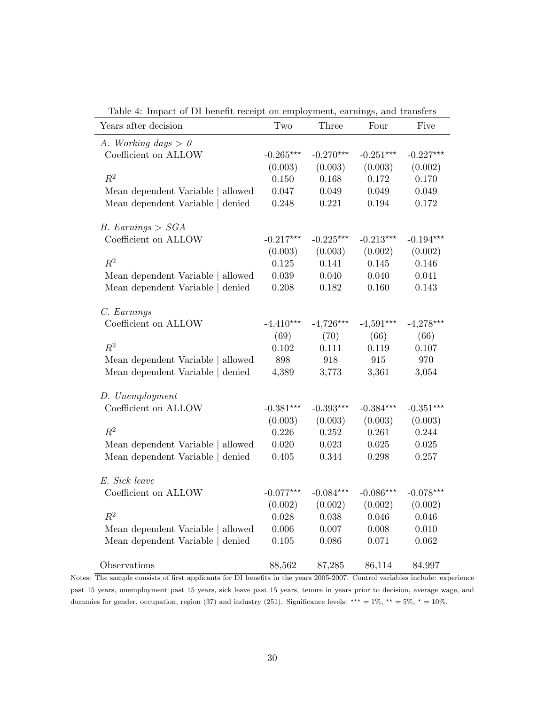| the 11 million of DT Scheme receipt on employment, currinitys, and transfer<br>Years after decision | Two         | Three       | Four        | Five        |
|-----------------------------------------------------------------------------------------------------|-------------|-------------|-------------|-------------|
| A. Working days $> 0$                                                                               |             |             |             |             |
| Coefficient on ALLOW                                                                                | $-0.265***$ | $-0.270***$ | $-0.251***$ | $-0.227***$ |
|                                                                                                     | (0.003)     | (0.003)     | (0.003)     | (0.002)     |
| $R^2$                                                                                               | 0.150       | 0.168       | 0.172       | 0.170       |
| Mean dependent Variable   allowed                                                                   | 0.047       | 0.049       | 0.049       | 0.049       |
| Mean dependent Variable   denied                                                                    | 0.248       | 0.221       | $\,0.194\,$ | 0.172       |
| $B.$ Earnings > $SGA$                                                                               |             |             |             |             |
| Coefficient on ALLOW                                                                                | $-0.217***$ | $-0.225***$ | $-0.213***$ | $-0.194***$ |
|                                                                                                     | (0.003)     | (0.003)     | (0.002)     | (0.002)     |
| $R^2$                                                                                               | 0.125       | 0.141       | 0.145       | 0.146       |
| Mean dependent Variable   allowed                                                                   | 0.039       | 0.040       | 0.040       | 0.041       |
| Mean dependent Variable   denied                                                                    | 0.208       | 0.182       | 0.160       | 0.143       |
| C. Earnings                                                                                         |             |             |             |             |
| Coefficient on ALLOW                                                                                | $-4,410***$ | $-4,726***$ | $-4,591***$ | $-4,278***$ |
|                                                                                                     | (69)        | (70)        | (66)        | (66)        |
| $R^2$                                                                                               | 0.102       | 0.111       | 0.119       | 0.107       |
| Mean dependent Variable   allowed                                                                   | 898         | 918         | 915         | 970         |
| Mean dependent Variable   denied                                                                    | 4,389       | 3,773       | 3,361       | 3,054       |
| D. Unemployment                                                                                     |             |             |             |             |
| Coefficient on ALLOW                                                                                | $-0.381***$ | $-0.393***$ | $-0.384***$ | $-0.351***$ |
|                                                                                                     | (0.003)     | (0.003)     | (0.003)     | (0.003)     |
| $R^2$                                                                                               | 0.226       | 0.252       | 0.261       | 0.244       |
| Mean dependent Variable   allowed                                                                   | 0.020       | 0.023       | 0.025       | 0.025       |
| Mean dependent Variable   denied                                                                    | 0.405       | 0.344       | 0.298       | 0.257       |
| E. Sick leave                                                                                       |             |             |             |             |
| Coefficient on ALLOW                                                                                | $-0.077***$ | $-0.084***$ | $-0.086***$ | $-0.078***$ |
|                                                                                                     | (0.002)     | (0.002)     | (0.002)     | (0.002)     |
| $R^2$                                                                                               | 0.028       | 0.038       | 0.046       | 0.046       |
| Mean dependent Variable   allowed                                                                   | 0.006       | 0.007       | 0.008       | 0.010       |
| Mean dependent Variable   denied                                                                    | $0.105\,$   | 0.086       | 0.071       | 0.062       |
| Observations                                                                                        | 88,562      | 87,285      | 86,114      | 84,997      |

<span id="page-30-0"></span>Table 4: Impact of DI benefit receipt on employment, earnings, and transfers

Notes: The sample consists of first applicants for DI benefits in the years 2005-2007. Control variables include: experience past 15 years, unemployment past 15 years, sick leave past 15 years, tenure in years prior to decision, average wage, and dummies for gender, occupation, region (37) and industry (251). Significance levels: \*\*\* =  $1\%$ , \*\* =  $5\%$ , \* =  $10\%$ .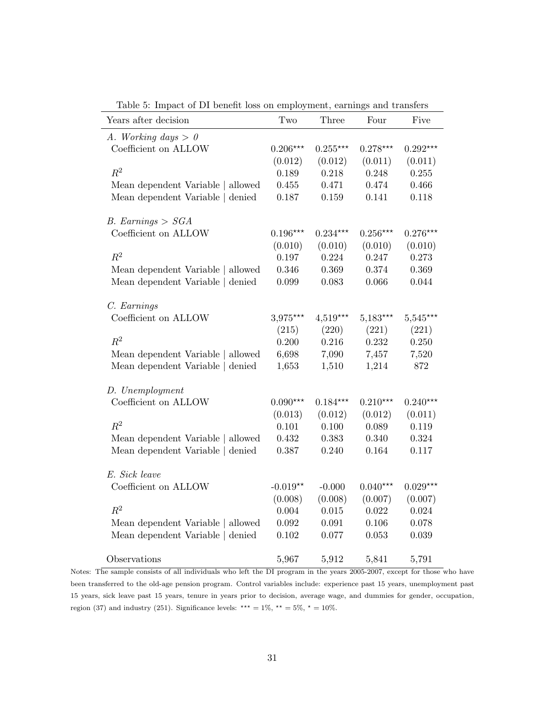| Years after decision              | $\operatorname{Two}$ | Three                       | Four        | Five       |
|-----------------------------------|----------------------|-----------------------------|-------------|------------|
| A. Working days $> 0$             |                      |                             |             |            |
| Coefficient on ALLOW              | $0.206***$           | $0.255***$                  | $0.278***$  | $0.292***$ |
|                                   | (0.012)              | (0.012)                     | (0.011)     | (0.011)    |
| $R^2$                             | 0.189                | 0.218                       | 0.248       | 0.255      |
| Mean dependent Variable   allowed | 0.455                | 0.471                       | 0.474       | 0.466      |
| Mean dependent Variable   denied  | 0.187                | 0.159                       | 0.141       | 0.118      |
| $B.$ Earnings > $SGA$             |                      |                             |             |            |
| Coefficient on ALLOW              | $0.196***$           | $0.234***$                  | $0.256***$  | $0.276***$ |
|                                   | (0.010)              | (0.010)                     | (0.010)     | (0.010)    |
| $R^2$                             | 0.197                | 0.224                       | 0.247       | 0.273      |
| Mean dependent Variable   allowed | 0.346                | 0.369                       | 0.374       | 0.369      |
| Mean dependent Variable   denied  | 0.099                | 0.083                       | 0.066       | 0.044      |
| C. Earnings                       |                      |                             |             |            |
| Coefficient on ALLOW              | $3,975***$           | $4{,}519^{\star\star\star}$ | $5,183***$  | $5,545***$ |
|                                   | (215)                | (220)                       | (221)       | (221)      |
| $R^2$                             | 0.200                | 0.216                       | 0.232       | 0.250      |
| Mean dependent Variable   allowed | 6,698                | 7,090                       | 7,457       | 7,520      |
| Mean dependent Variable   denied  | 1,653                | 1,510                       | 1,214       | 872        |
| D. Unemployment                   |                      |                             |             |            |
| Coefficient on ALLOW              | $0.090***$           | $0.184***$                  | $0.210***$  | $0.240***$ |
|                                   | (0.013)              | (0.012)                     | (0.012)     | (0.011)    |
| $R^2$                             | 0.101                | 0.100                       | 0.089       | 0.119      |
| Mean dependent Variable   allowed | 0.432                | 0.383                       | 0.340       | 0.324      |
| Mean dependent Variable   denied  | 0.387                | 0.240                       | 0.164       | 0.117      |
| E. Sick leave                     |                      |                             |             |            |
| Coefficient on ALLOW              | $-0.019**$           | $-0.000$                    | $0.040***$  | $0.029***$ |
|                                   | (0.008)              | (0.008)                     | (0.007)     | (0.007)    |
| $R^2$                             | 0.004                | $0.015\,$                   | $\,0.022\,$ | 0.024      |
| Mean dependent Variable   allowed | 0.092                | 0.091                       | 0.106       | 0.078      |
| Mean dependent Variable   denied  | 0.102                | 0.077                       | 0.053       | 0.039      |
| Observations                      | 5,967                | 5,912                       | 5,841       | 5,791      |

<span id="page-31-0"></span>Table 5: Impact of DI benefit loss on employment, earnings and transfers

Notes: The sample consists of all individuals who left the DI program in the years 2005-2007, except for those who have been transferred to the old-age pension program. Control variables include: experience past 15 years, unemployment past 15 years, sick leave past 15 years, tenure in years prior to decision, average wage, and dummies for gender, occupation, region (37) and industry (251). Significance levels: \*\*\* =  $1\%$ , \*\* =  $5\%$ , \* =  $10\%$ .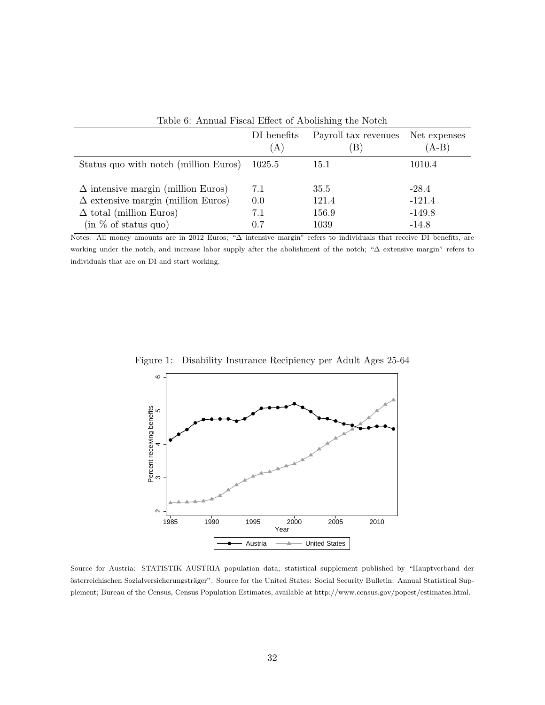<span id="page-32-1"></span>

| Table 6: Annual Fiscal Effect of Abolishing the Notch |                    |                           |                         |  |  |
|-------------------------------------------------------|--------------------|---------------------------|-------------------------|--|--|
|                                                       | DI benefits<br>(A) | Payroll tax revenues<br>B | Net expenses<br>$(A-B)$ |  |  |
| Status quo with notch (million Euros)                 | 1025.5             | 15.1                      | 1010.4                  |  |  |
| $\Delta$ intensive margin (million Euros)             | 7.1                | 35.5                      | $-28.4$                 |  |  |
| $\Delta$ extensive margin (million Euros)             | 0.0                | 121.4                     | $-121.4$                |  |  |
| $\Delta$ total (million Euros)                        | 7.1                | 156.9                     | $-149.8$                |  |  |
| (in % of status quo)                                  | 0.7                | 1039                      | $-14.8$                 |  |  |

Notes: All money amounts are in 2012 Euros; "∆ intensive margin" refers to individuals that receive DI benefits, are working under the notch, and increase labor supply after the abolishment of the notch; "∆ extensive margin" refers to individuals that are on DI and start working.

<span id="page-32-0"></span>

Figure 1: Disability Insurance Recipiency per Adult Ages 25-64

Source for Austria: STATISTIK AUSTRIA population data; statistical supplement published by "Hauptverband der österreichischen Sozialversicherungsträger". Source for the United States: Social Security Bulletin: Annual Statistical Supplement; Bureau of the Census, Census Population Estimates, available at http://www.census.gov/popest/estimates.html.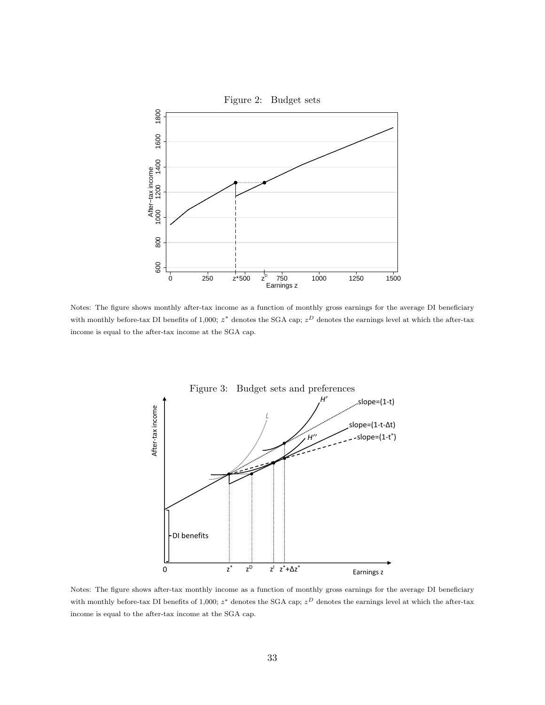<span id="page-33-0"></span>

Notes: The figure shows monthly after-tax income as a function of monthly gross earnings for the average DI beneficiary with monthly before-tax DI benefits of 1,000;  $z^*$  denotes the SGA cap;  $z^D$  denotes the earnings level at which the after-tax income is equal to the after-tax income at the SGA cap.

<span id="page-33-1"></span>

Notes: The figure shows after-tax monthly income as a function of monthly gross earnings for the average DI beneficiary with monthly before-tax DI benefits of 1,000;  $z^*$  denotes the SGA cap;  $z^D$  denotes the earnings level at which the after-tax income is equal to the after-tax income at the SGA cap.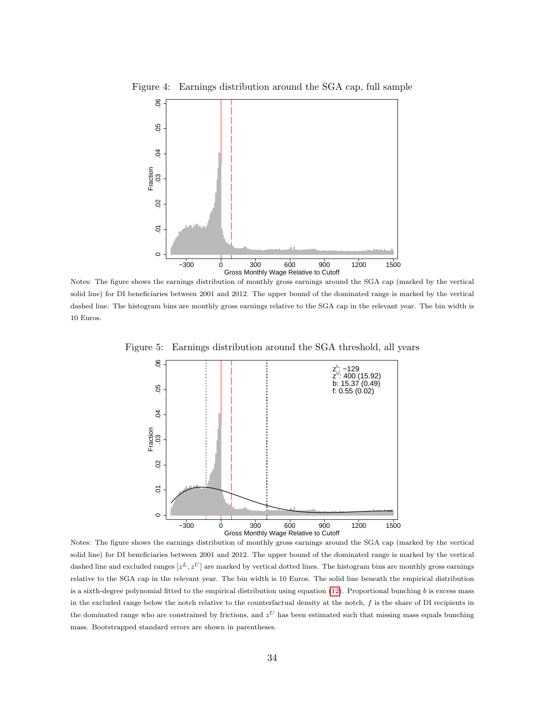<span id="page-34-0"></span>

Figure 4: Earnings distribution around the SGA cap, full sample

Notes: The figure shows the earnings distribution of monthly gross earnings around the SGA cap (marked by the vertical solid line) for DI beneficiaries between 2001 and 2012. The upper bound of the dominated range is marked by the vertical dashed line. The histogram bins are monthly gross earnings relative to the SGA cap in the relevant year. The bin width is 10 Euros.

Figure 5: Earnings distribution around the SGA threshold, all years

<span id="page-34-1"></span>

Notes: The figure shows the earnings distribution of monthly gross earnings around the SGA cap (marked by the vertical solid line) for DI beneficiaries between 2001 and 2012. The upper bound of the dominated range is marked by the vertical dashed line and excluded ranges  $[z^L, z^U]$  are marked by vertical dotted lines. The histogram bins are monthly gross earnings relative to the SGA cap in the relevant year. The bin width is 10 Euros. The solid line beneath the empirical distribution is a sixth-degree polynomial fitted to the empirical distribution using equation  $(12)$ . Proportional bunching b is excess mass in the excluded range below the notch relative to the counterfactual density at the notch,  $f$  is the share of DI recipients in the dominated range who are constrained by frictions, and  $z^U$  has been estimated such that missing mass equals bunching mass. Bootstrapped standard errors are shown in parentheses.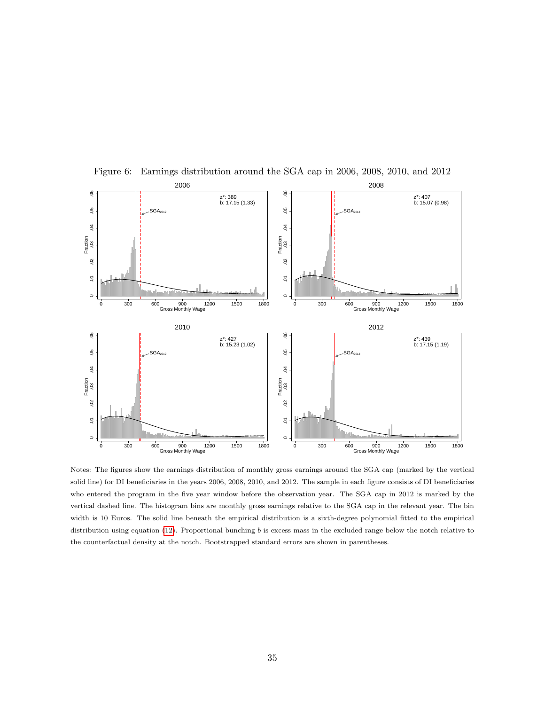

<span id="page-35-0"></span>Figure 6: Earnings distribution around the SGA cap in 2006, 2008, 2010, and 2012

Notes: The figures show the earnings distribution of monthly gross earnings around the SGA cap (marked by the vertical solid line) for DI beneficiaries in the years 2006, 2008, 2010, and 2012. The sample in each figure consists of DI beneficiaries who entered the program in the five year window before the observation year. The SGA cap in 2012 is marked by the vertical dashed line. The histogram bins are monthly gross earnings relative to the SGA cap in the relevant year. The bin width is 10 Euros. The solid line beneath the empirical distribution is a sixth-degree polynomial fitted to the empirical distribution using equation  $(12)$ . Proportional bunching b is excess mass in the excluded range below the notch relative to the counterfactual density at the notch. Bootstrapped standard errors are shown in parentheses.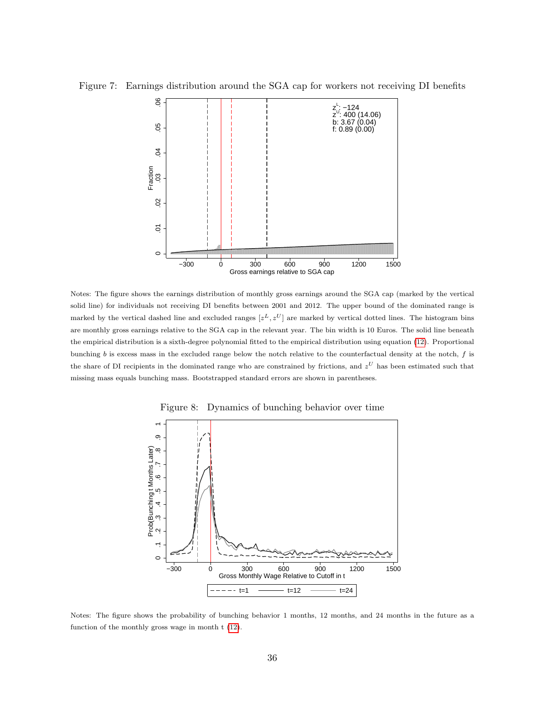Figure 7: Earnings distribution around the SGA cap for workers not receiving DI benefits

<span id="page-36-0"></span>

Notes: The figure shows the earnings distribution of monthly gross earnings around the SGA cap (marked by the vertical solid line) for individuals not receiving DI benefits between 2001 and 2012. The upper bound of the dominated range is marked by the vertical dashed line and excluded ranges  $[z^L, z^U]$  are marked by vertical dotted lines. The histogram bins are monthly gross earnings relative to the SGA cap in the relevant year. The bin width is 10 Euros. The solid line beneath the empirical distribution is a sixth-degree polynomial fitted to the empirical distribution using equation [\(12\)](#page-10-0). Proportional bunching b is excess mass in the excluded range below the notch relative to the counterfactual density at the notch, f is the share of DI recipients in the dominated range who are constrained by frictions, and  $z^U$  has been estimated such that missing mass equals bunching mass. Bootstrapped standard errors are shown in parentheses.



<span id="page-36-1"></span>Figure 8: Dynamics of bunching behavior over time

Notes: The figure shows the probability of bunching behavior 1 months, 12 months, and 24 months in the future as a function of the monthly gross wage in month t [\(12\)](#page-10-0).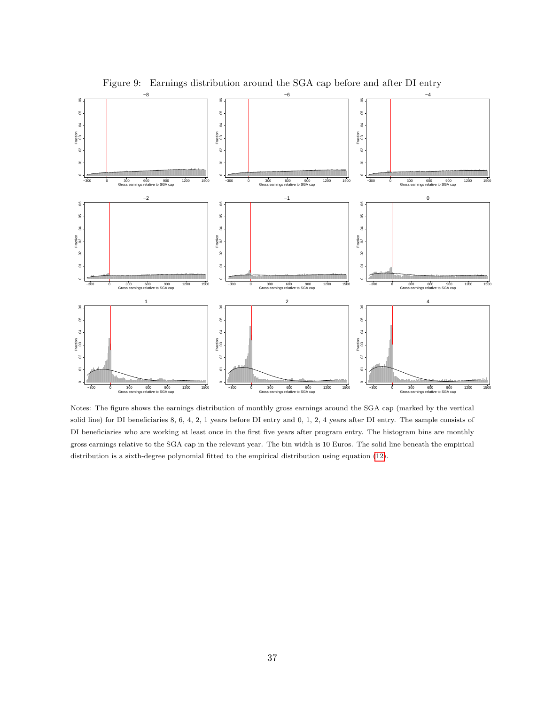

<span id="page-37-0"></span>Figure 9: Earnings distribution around the SGA cap before and after DI entry

Notes: The figure shows the earnings distribution of monthly gross earnings around the SGA cap (marked by the vertical solid line) for DI beneficiaries 8, 6, 4, 2, 1 years before DI entry and 0, 1, 2, 4 years after DI entry. The sample consists of DI beneficiaries who are working at least once in the first five years after program entry. The histogram bins are monthly gross earnings relative to the SGA cap in the relevant year. The bin width is 10 Euros. The solid line beneath the empirical distribution is a sixth-degree polynomial fitted to the empirical distribution using equation [\(12\)](#page-10-0).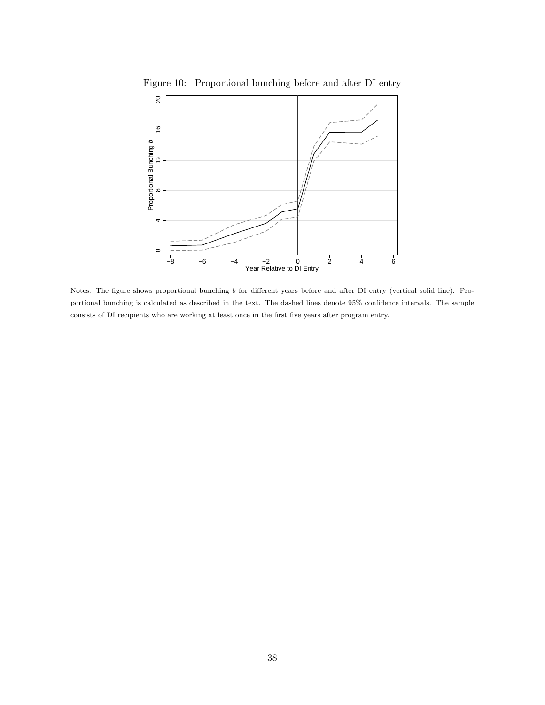<span id="page-38-0"></span>

Figure 10: Proportional bunching before and after DI entry

Notes: The figure shows proportional bunching b for different years before and after DI entry (vertical solid line). Proportional bunching is calculated as described in the text. The dashed lines denote 95% confidence intervals. The sample consists of DI recipients who are working at least once in the first five years after program entry.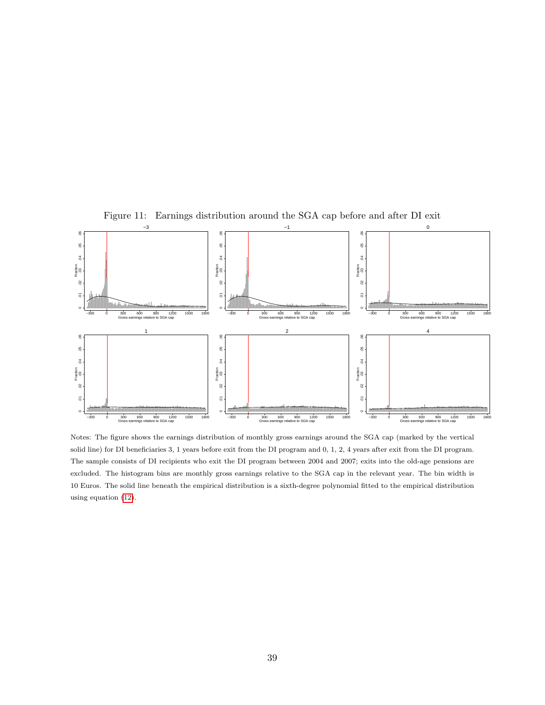

<span id="page-39-0"></span>Figure 11: Earnings distribution around the SGA cap before and after DI exit

Notes: The figure shows the earnings distribution of monthly gross earnings around the SGA cap (marked by the vertical solid line) for DI beneficiaries 3, 1 years before exit from the DI program and 0, 1, 2, 4 years after exit from the DI program. The sample consists of DI recipients who exit the DI program between 2004 and 2007; exits into the old-age pensions are excluded. The histogram bins are monthly gross earnings relative to the SGA cap in the relevant year. The bin width is 10 Euros. The solid line beneath the empirical distribution is a sixth-degree polynomial fitted to the empirical distribution using equation [\(12\)](#page-10-0).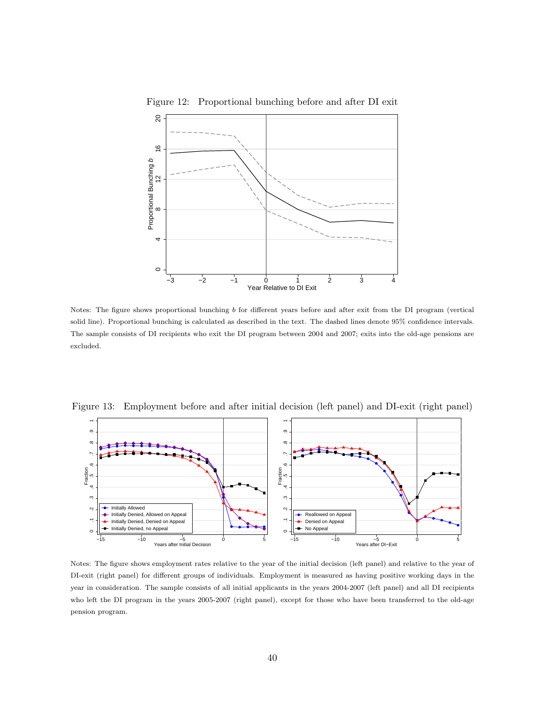

Notes: The figure shows proportional bunching b for different years before and after exit from the DI program (vertical solid line). Proportional bunching is calculated as described in the text. The dashed lines denote 95% confidence intervals. The sample consists of DI recipients who exit the DI program between 2004 and 2007; exits into the old-age pensions are excluded.

Figure 13: Employment before and after initial decision (left panel) and DI-exit (right panel)

<span id="page-40-0"></span>

Notes: The figure shows employment rates relative to the year of the initial decision (left panel) and relative to the year of DI-exit (right panel) for different groups of individuals. Employment is measured as having positive working days in the year in consideration. The sample consists of all initial applicants in the years 2004-2007 (left panel) and all DI recipients who left the DI program in the years 2005-2007 (right panel), except for those who have been transferred to the old-age pension program.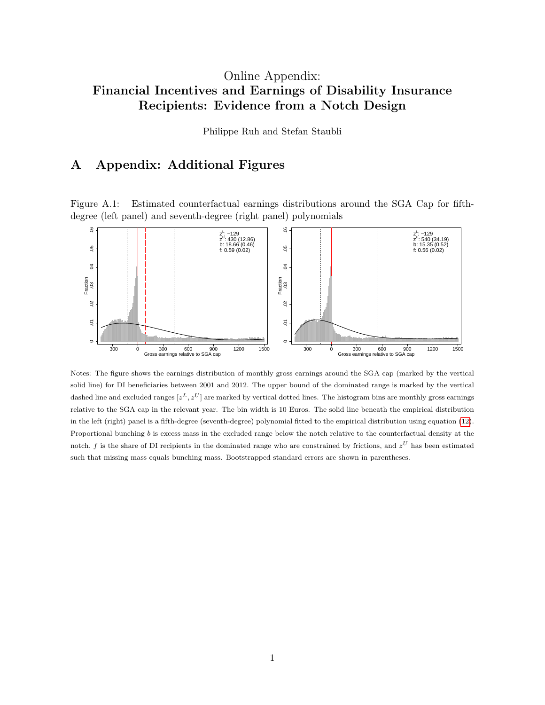# Online Appendix: Financial Incentives and Earnings of Disability Insurance Recipients: Evidence from a Notch Design

Philippe Ruh and Stefan Staubli

# <span id="page-41-1"></span>A Appendix: Additional Figures

Figure A.1: Estimated counterfactual earnings distributions around the SGA Cap for fifthdegree (left panel) and seventh-degree (right panel) polynomials

<span id="page-41-0"></span>

Notes: The figure shows the earnings distribution of monthly gross earnings around the SGA cap (marked by the vertical solid line) for DI beneficiaries between 2001 and 2012. The upper bound of the dominated range is marked by the vertical dashed line and excluded ranges  $[z^L, z^U]$  are marked by vertical dotted lines. The histogram bins are monthly gross earnings relative to the SGA cap in the relevant year. The bin width is 10 Euros. The solid line beneath the empirical distribution in the left (right) panel is a fifth-degree (seventh-degree) polynomial fitted to the empirical distribution using equation [\(12\)](#page-10-0). Proportional bunching b is excess mass in the excluded range below the notch relative to the counterfactual density at the notch, f is the share of DI recipients in the dominated range who are constrained by frictions, and  $z^U$  has been estimated such that missing mass equals bunching mass. Bootstrapped standard errors are shown in parentheses.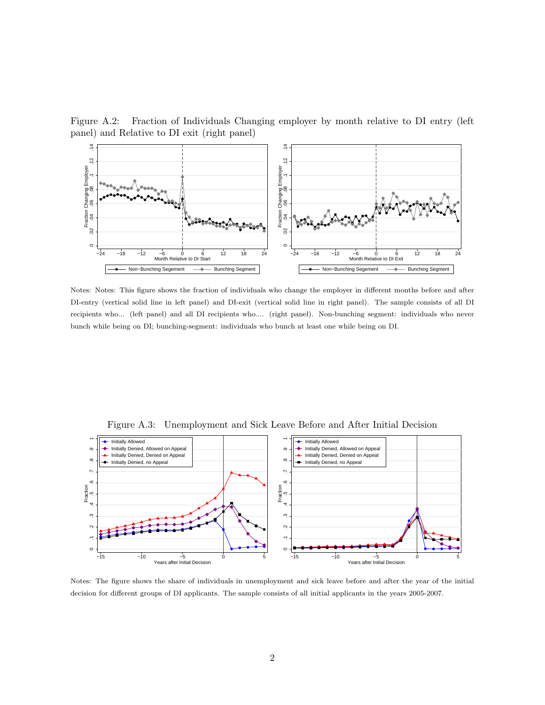Figure A.2: Fraction of Individuals Changing employer by month relative to DI entry (left panel) and Relative to DI exit (right panel)

<span id="page-42-0"></span>

Notes: Notes: This figure shows the fraction of individuals who change the employer in different months before and after DI-entry (vertical solid line in left panel) and DI-exit (vertical solid line in right panel). The sample consists of all DI recipients who... (left panel) and all DI recipients who.... (right panel). Non-bunching segment: individuals who never bunch while being on DI; bunching-segment: individuals who bunch at least one while being on DI.



<span id="page-42-1"></span>Figure A.3: Unemployment and Sick Leave Before and After Initial Decision

Notes: The figure shows the share of individuals in unemployment and sick leave before and after the year of the initial decision for different groups of DI applicants. The sample consists of all initial applicants in the years 2005-2007.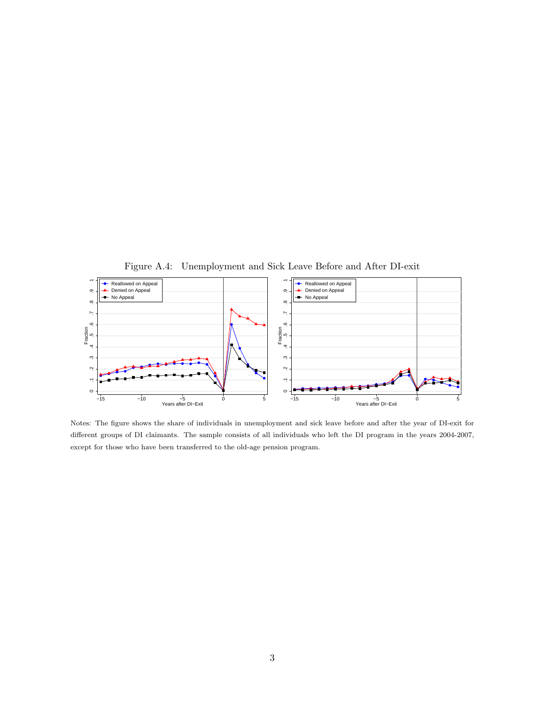<span id="page-43-0"></span>

Notes: The figure shows the share of individuals in unemployment and sick leave before and after the year of DI-exit for different groups of DI claimants. The sample consists of all individuals who left the DI program in the years 2004-2007, except for those who have been transferred to the old-age pension program.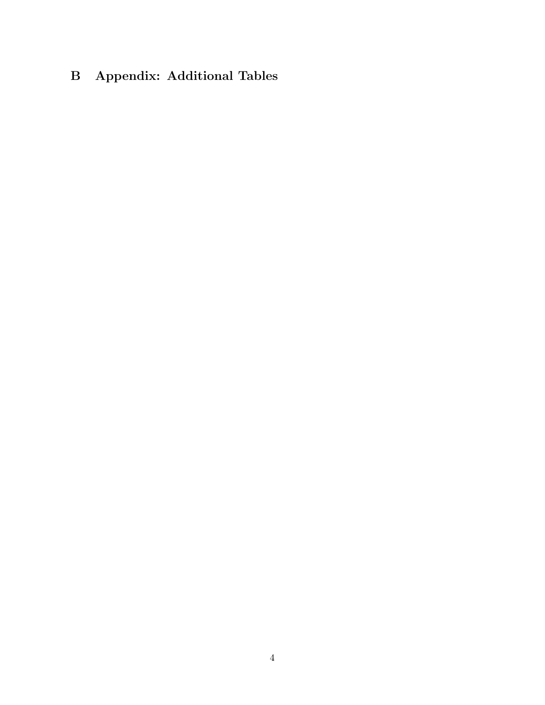# B Appendix: Additional Tables